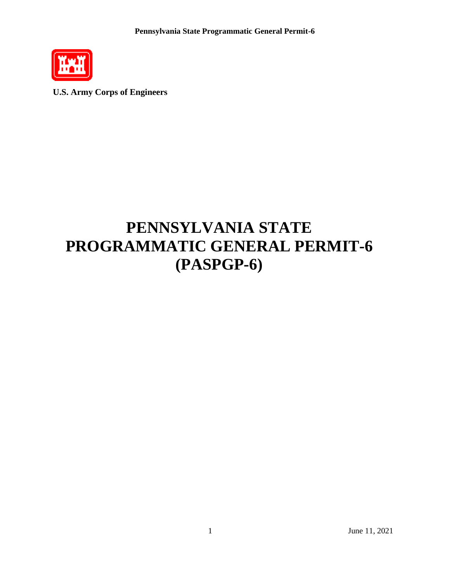

**U.S. Army Corps of Engineers**

# **PENNSYLVANIA STATE PROGRAMMATIC GENERAL PERMIT-6 (PASPGP-6)**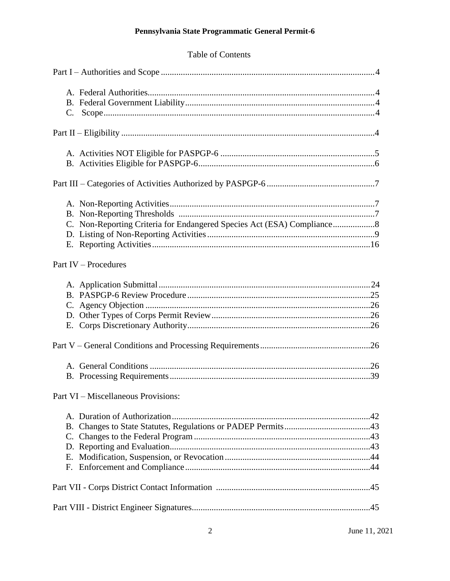## Table of Contents

| C. Non-Reporting Criteria for Endangered Species Act (ESA) Compliance 8 |
|-------------------------------------------------------------------------|
| Part IV – Procedures                                                    |
|                                                                         |
|                                                                         |
|                                                                         |
| Part VI – Miscellaneous Provisions:                                     |
|                                                                         |
|                                                                         |
|                                                                         |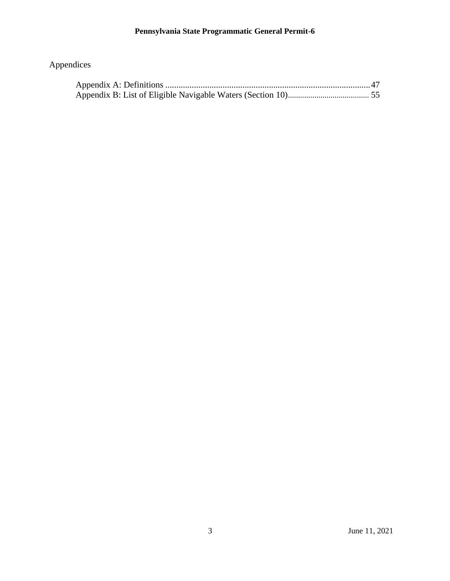## Appendices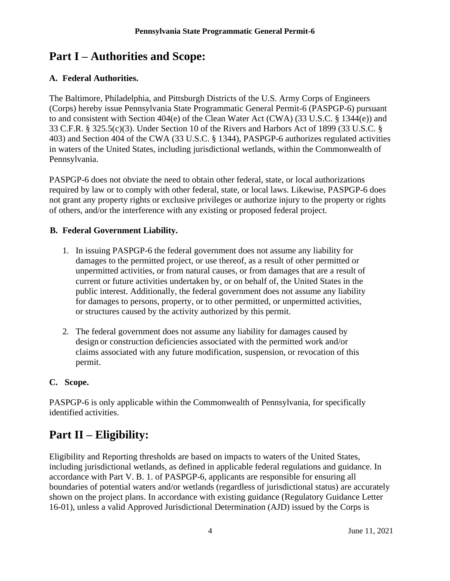## <span id="page-3-0"></span>**Part I – Authorities and Scope:**

## **A. Federal Authorities.**

The Baltimore, Philadelphia, and Pittsburgh Districts of the U.S. Army Corps of Engineers (Corps) hereby issue Pennsylvania State Programmatic General Permit-6 (PASPGP-6) pursuant to and consistent with Section 404(e) of the Clean Water Act (CWA) (33 U.S.C. § 1344(e)) and 33 C.F.R. § 325.5(c)(3). Under Section 10 of the Rivers and Harbors Act of 1899 (33 U.S.C. § 403) and Section 404 of the CWA (33 U.S.C. § 1344), PASPGP-6 authorizes regulated activities in waters of the United States, including jurisdictional wetlands, within the Commonwealth of Pennsylvania.

PASPGP-6 does not obviate the need to obtain other federal, state, or local authorizations required by law or to comply with other federal, state, or local laws. Likewise, PASPGP-6 does not grant any property rights or exclusive privileges or authorize injury to the property or rights of others, and/or the interference with any existing or proposed federal project.

## <span id="page-3-1"></span>**B. Federal Government Liability.**

- 1. In issuing PASPGP-6 the federal government does not assume any liability for damages to the permitted project, or use thereof, as a result of other permitted or unpermitted activities, or from natural causes, or from damages that are a result of current or future activities undertaken by, or on behalf of, the United States in the public interest. Additionally, the federal government does not assume any liability for damages to persons, property, or to other permitted, or unpermitted activities, or structures caused by the activity authorized by this permit.
- 2. The federal government does not assume any liability for damages caused by design or construction deficiencies associated with the permitted work and/or claims associated with any future modification, suspension, or revocation of this permit.

## **C. Scope.**

PASPGP-6 is only applicable within the Commonwealth of Pennsylvania, for specifically identified activities.

## <span id="page-3-2"></span>**Part II – Eligibility:**

Eligibility and Reporting thresholds are based on impacts to waters of the United States, including jurisdictional wetlands, as defined in applicable federal regulations and guidance. In accordance with Part V. B. 1. of PASPGP-6, applicants are responsible for ensuring all boundaries of potential waters and/or wetlands (regardless of jurisdictional status) are accurately shown on the project plans. In accordance with existing guidance (Regulatory Guidance Letter 16-01), unless a valid Approved Jurisdictional Determination (AJD) issued by the Corps is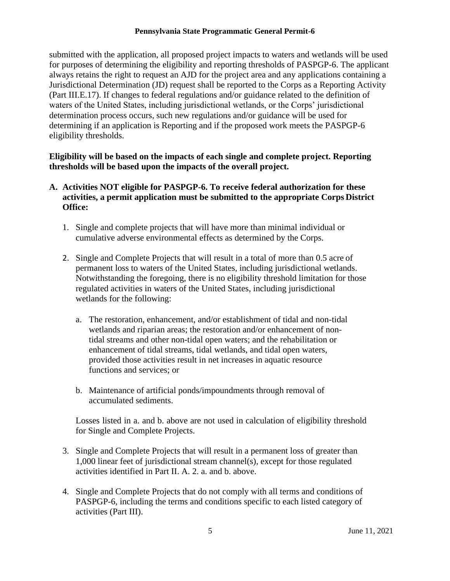submitted with the application, all proposed project impacts to waters and wetlands will be used for purposes of determining the eligibility and reporting thresholds of PASPGP-6. The applicant always retains the right to request an AJD for the project area and any applications containing a Jurisdictional Determination (JD) request shall be reported to the Corps as a Reporting Activity (Part III.E.17). If changes to federal regulations and/or guidance related to the definition of waters of the United States, including jurisdictional wetlands, or the Corps' jurisdictional determination process occurs, such new regulations and/or guidance will be used for determining if an application is Reporting and if the proposed work meets the PASPGP-6 eligibility thresholds.

### **Eligibility will be based on the impacts of each single and complete project. Reporting thresholds will be based upon the impacts of the overall project.**

## **A. Activities NOT eligible for PASPGP-6. To receive federal authorization for these activities, a permit application must be submitted to the appropriate Corps District Office:**

- 1. Single and complete projects that will have more than minimal individual or cumulative adverse environmental effects as determined by the Corps.
- 2. Single and Complete Projects that will result in a total of more than 0.5 acre of permanent loss to waters of the United States, including jurisdictional wetlands. Notwithstanding the foregoing, there is no eligibility threshold limitation for those regulated activities in waters of the United States, including jurisdictional wetlands for the following:
	- a. The restoration, enhancement, and/or establishment of tidal and non-tidal wetlands and riparian areas; the restoration and/or enhancement of nontidal streams and other non-tidal open waters; and the rehabilitation or enhancement of tidal streams, tidal wetlands, and tidal open waters, provided those activities result in net increases in aquatic resource functions and services; or
	- b. Maintenance of artificial ponds/impoundments through removal of accumulated sediments.

Losses listed in a. and b. above are not used in calculation of eligibility threshold for Single and Complete Projects.

- 3. Single and Complete Projects that will result in a permanent loss of greater than 1,000 linear feet of jurisdictional stream channel(s), except for those regulated activities identified in Part II. A. 2. a. and b. above.
- 4. Single and Complete Projects that do not comply with all terms and conditions of PASPGP-6, including the terms and conditions specific to each listed category of activities (Part III).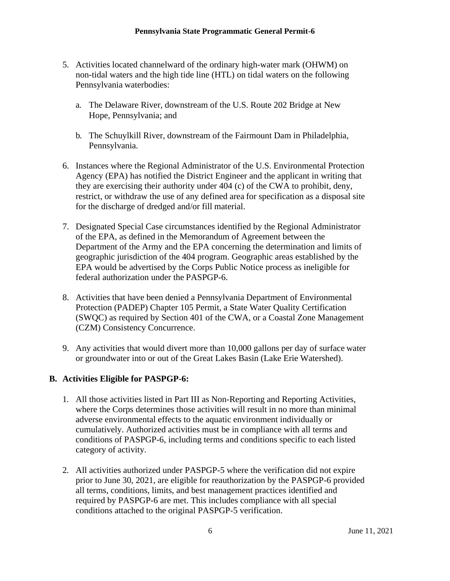- 5. Activities located channelward of the ordinary high-water mark (OHWM) on non-tidal waters and the high tide line (HTL) on tidal waters on the following Pennsylvania waterbodies:
	- a. The Delaware River, downstream of the U.S. Route 202 Bridge at New Hope, Pennsylvania; and
	- b. The Schuylkill River, downstream of the Fairmount Dam in Philadelphia, Pennsylvania.
- 6. Instances where the Regional Administrator of the U.S. Environmental Protection Agency (EPA) has notified the District Engineer and the applicant in writing that they are exercising their authority under 404 (c) of the CWA to prohibit, deny, restrict, or withdraw the use of any defined area for specification as a disposal site for the discharge of dredged and/or fill material.
- 7. Designated Special Case circumstances identified by the Regional Administrator of the EPA, as defined in the Memorandum of Agreement between the Department of the Army and the EPA concerning the determination and limits of geographic jurisdiction of the 404 program. Geographic areas established by the EPA would be advertised by the Corps Public Notice process as ineligible for federal authorization under the PASPGP-6.
- 8. Activities that have been denied a Pennsylvania Department of Environmental Protection (PADEP) Chapter 105 Permit, a State Water Quality Certification (SWQC) as required by Section 401 of the CWA, or a Coastal Zone Management (CZM) Consistency Concurrence.
- 9. Any activities that would divert more than 10,000 gallons per day of surface water or groundwater into or out of the Great Lakes Basin (Lake Erie Watershed).

## <span id="page-5-0"></span>**B. Activities Eligible for PASPGP-6:**

- 1. All those activities listed in Part III as Non-Reporting and Reporting Activities, where the Corps determines those activities will result in no more than minimal adverse environmental effects to the aquatic environment individually or cumulatively. Authorized activities must be in compliance with all terms and conditions of PASPGP-6, including terms and conditions specific to each listed category of activity.
- 2. All activities authorized under PASPGP-5 where the verification did not expire prior to June 30, 2021, are eligible for reauthorization by the PASPGP-6 provided all terms, conditions, limits, and best management practices identified and required by PASPGP-6 are met. This includes compliance with all special conditions attached to the original PASPGP-5 verification.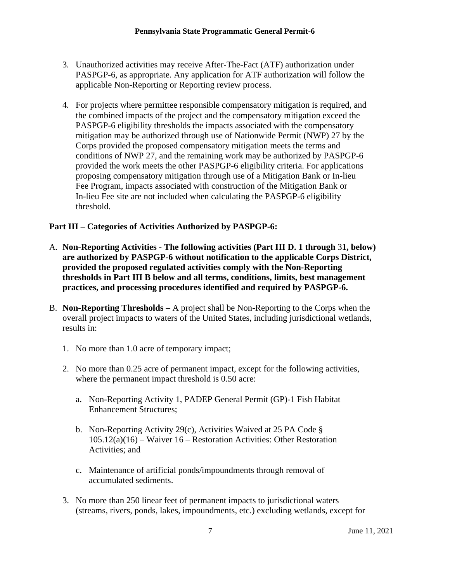- 3. Unauthorized activities may receive After-The-Fact (ATF) authorization under PASPGP-6, as appropriate. Any application for ATF authorization will follow the applicable Non-Reporting or Reporting review process.
- 4. For projects where permittee responsible compensatory mitigation is required, and the combined impacts of the project and the compensatory mitigation exceed the PASPGP-6 eligibility thresholds the impacts associated with the compensatory mitigation may be authorized through use of Nationwide Permit (NWP) 27 by the Corps provided the proposed compensatory mitigation meets the terms and conditions of NWP 27, and the remaining work may be authorized by PASPGP-6 provided the work meets the other PASPGP-6 eligibility criteria. For applications proposing compensatory mitigation through use of a Mitigation Bank or In-lieu Fee Program, impacts associated with construction of the Mitigation Bank or In-lieu Fee site are not included when calculating the PASPGP-6 eligibility threshold.

## <span id="page-6-0"></span>**Part III – Categories of Activities Authorized by PASPGP-6:**

- <span id="page-6-1"></span>A. **Non-Reporting Activities - The following activities (Part III D. 1 through** 3**1, below) are authorized by PASPGP-6 without notification to the applicable Corps District, provided the proposed regulated activities comply with the Non-Reporting thresholds in Part III B below and all terms, conditions, limits, best management practices, and processing procedures identified and required by PASPGP-6.**
- B. **Non-Reporting Thresholds –** A project shall be Non-Reporting to the Corps when the overall project impacts to waters of the United States, including jurisdictional wetlands, results in:
	- 1. No more than 1.0 acre of temporary impact;
	- 2. No more than 0.25 acre of permanent impact, except for the following activities, where the permanent impact threshold is 0.50 acre:
		- a. Non-Reporting Activity 1, PADEP General Permit (GP)-1 Fish Habitat Enhancement Structures;
		- b. Non-Reporting Activity 29(c), Activities Waived at 25 PA Code § 105.12(a)(16) – Waiver 16 – Restoration Activities: Other Restoration Activities; and
		- c. Maintenance of artificial ponds/impoundments through removal of accumulated sediments.
	- 3. No more than 250 linear feet of permanent impacts to jurisdictional waters (streams, rivers, ponds, lakes, impoundments, etc.) excluding wetlands, except for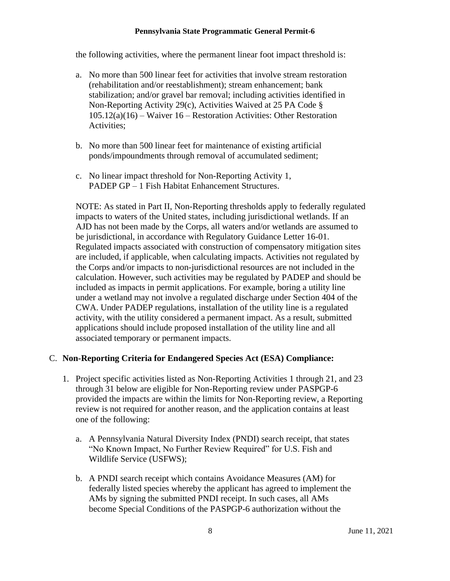the following activities, where the permanent linear foot impact threshold is:

- a. No more than 500 linear feet for activities that involve stream restoration (rehabilitation and/or reestablishment); stream enhancement; bank stabilization; and/or gravel bar removal; including activities identified in Non-Reporting Activity 29(c), Activities Waived at 25 PA Code § 105.12(a)(16) – Waiver 16 – Restoration Activities: Other Restoration Activities;
- b. No more than 500 linear feet for maintenance of existing artificial ponds/impoundments through removal of accumulated sediment;
- c. No linear impact threshold for Non-Reporting Activity 1, PADEP GP – 1 Fish Habitat Enhancement Structures.

NOTE: As stated in Part II, Non-Reporting thresholds apply to federally regulated impacts to waters of the United states, including jurisdictional wetlands. If an AJD has not been made by the Corps, all waters and/or wetlands are assumed to be jurisdictional, in accordance with Regulatory Guidance Letter 16-01. Regulated impacts associated with construction of compensatory mitigation sites are included, if applicable, when calculating impacts. Activities not regulated by the Corps and/or impacts to non-jurisdictional resources are not included in the calculation. However, such activities may be regulated by PADEP and should be included as impacts in permit applications. For example, boring a utility line under a wetland may not involve a regulated discharge under Section 404 of the CWA. Under PADEP regulations, installation of the utility line is a regulated activity, with the utility considered a permanent impact. As a result, submitted applications should include proposed installation of the utility line and all associated temporary or permanent impacts.

### C. **Non-Reporting Criteria for Endangered Species Act (ESA) Compliance:**

- 1. Project specific activities listed as Non-Reporting Activities 1 through 21, and 23 through 31 below are eligible for Non-Reporting review under PASPGP-6 provided the impacts are within the limits for Non-Reporting review, a Reporting review is not required for another reason, and the application contains at least one of the following:
	- a. A Pennsylvania Natural Diversity Index (PNDI) search receipt, that states "No Known Impact, No Further Review Required" for U.S. Fish and Wildlife Service (USFWS);
	- b. A PNDI search receipt which contains Avoidance Measures (AM) for federally listed species whereby the applicant has agreed to implement the AMs by signing the submitted PNDI receipt. In such cases, all AMs become Special Conditions of the PASPGP-6 authorization without the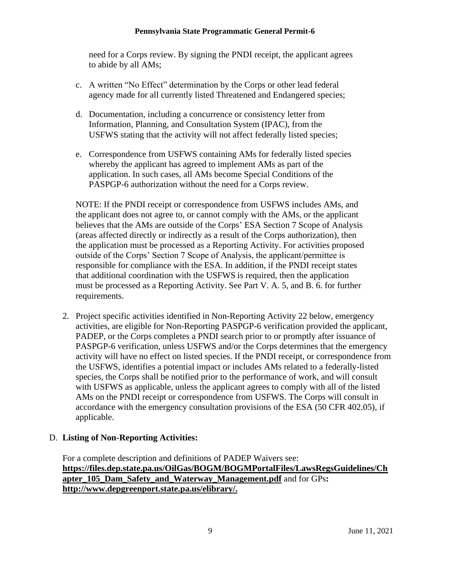need for a Corps review. By signing the PNDI receipt, the applicant agrees to abide by all AMs;

- c. A written "No Effect" determination by the Corps or other lead federal agency made for all currently listed Threatened and Endangered species;
- d. Documentation, including a concurrence or consistency letter from Information, Planning, and Consultation System (IPAC), from the USFWS stating that the activity will not affect federally listed species;
- e. Correspondence from USFWS containing AMs for federally listed species whereby the applicant has agreed to implement AMs as part of the application. In such cases, all AMs become Special Conditions of the PASPGP-6 authorization without the need for a Corps review.

NOTE: If the PNDI receipt or correspondence from USFWS includes AMs, and the applicant does not agree to, or cannot comply with the AMs, or the applicant believes that the AMs are outside of the Corps' ESA Section 7 Scope of Analysis (areas affected directly or indirectly as a result of the Corps authorization), then the application must be processed as a Reporting Activity. For activities proposed outside of the Corps' Section 7 Scope of Analysis, the applicant/permittee is responsible for compliance with the ESA. In addition, if the PNDI receipt states that additional coordination with the USFWS is required, then the application must be processed as a Reporting Activity. See Part V. A. 5, and B. 6. for further requirements.

2. Project specific activities identified in Non-Reporting Activity 22 below, emergency activities, are eligible for Non-Reporting PASPGP-6 verification provided the applicant, PADEP, or the Corps completes a PNDI search prior to or promptly after issuance of PASPGP-6 verification, unless USFWS and/or the Corps determines that the emergency activity will have no effect on listed species. If the PNDI receipt, or correspondence from the USFWS, identifies a potential impact or includes AMs related to a federally-listed species, the Corps shall be notified prior to the performance of work, and will consult with USFWS as applicable, unless the applicant agrees to comply with all of the listed AMs on the PNDI receipt or correspondence from USFWS. The Corps will consult in accordance with the emergency consultation provisions of the ESA (50 CFR 402.05), if applicable.

## D. **Listing of Non-Reporting Activities:**

For a complete description and definitions of PADEP Waivers see: **[https://files.dep.state.pa.us/OilGas/BOGM/BOGMPortalFiles/LawsRegsGuidelines/Ch](https://files.dep.state.pa.us/OilGas/BOGM/BOGMPortalFiles/LawsRegsGuidelines/Chapter_105_Dam_Safety_and_Waterway_Management.pdf) [apter\\_105\\_Dam\\_Safety\\_and\\_Waterway\\_Management.pdf](https://files.dep.state.pa.us/OilGas/BOGM/BOGMPortalFiles/LawsRegsGuidelines/Chapter_105_Dam_Safety_and_Waterway_Management.pdf)** and for GPs**: [http://www.depgreenport.state.pa.us/elibrary/.](http://www.depgreenport.state.pa.us/elibrary/)**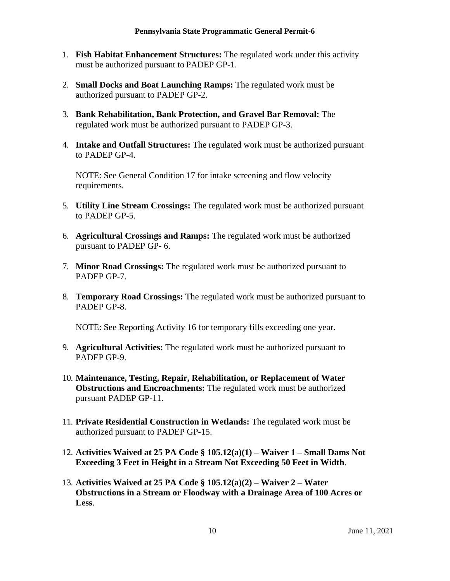- 1. **Fish Habitat Enhancement Structures:** The regulated work under this activity must be authorized pursuant to PADEP GP-1.
- 2. **Small Docks and Boat Launching Ramps:** The regulated work must be authorized pursuant to PADEP GP-2.
- 3. **Bank Rehabilitation, Bank Protection, and Gravel Bar Removal:** The regulated work must be authorized pursuant to PADEP GP-3.
- 4. **Intake and Outfall Structures:** The regulated work must be authorized pursuant to PADEP GP-4.

NOTE: See General Condition 17 for intake screening and flow velocity requirements.

- 5. **Utility Line Stream Crossings:** The regulated work must be authorized pursuant to PADEP GP-5.
- 6. **Agricultural Crossings and Ramps:** The regulated work must be authorized pursuant to PADEP GP- 6.
- 7. **Minor Road Crossings:** The regulated work must be authorized pursuant to PADEP GP-7.
- 8. **Temporary Road Crossings:** The regulated work must be authorized pursuant to PADEP GP-8.

NOTE: See Reporting Activity 16 for temporary fills exceeding one year.

- 9. **Agricultural Activities:** The regulated work must be authorized pursuant to PADEP GP-9.
- 10. **Maintenance, Testing, Repair, Rehabilitation, or Replacement of Water Obstructions and Encroachments:** The regulated work must be authorized pursuant PADEP GP-11.
- 11. **Private Residential Construction in Wetlands:** The regulated work must be authorized pursuant to PADEP GP-15.
- 12. **Activities Waived at 25 PA Code § 105.12(a)(1) – Waiver 1 – Small Dams Not Exceeding 3 Feet in Height in a Stream Not Exceeding 50 Feet in Width**.
- 13. **Activities Waived at 25 PA Code § 105.12(a)(2) – Waiver 2 – Water Obstructions in a Stream or Floodway with a Drainage Area of 100 Acres or Less**.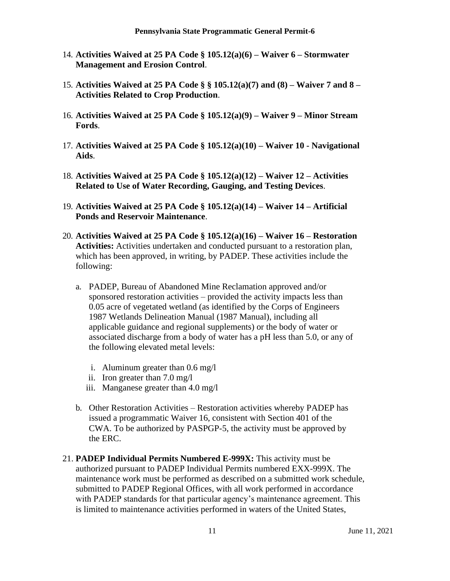- 14. **Activities Waived at 25 PA Code § 105.12(a)(6) – Waiver 6 – Stormwater Management and Erosion Control**.
- 15. **Activities Waived at 25 PA Code § § 105.12(a)(7) and (8) – Waiver 7 and 8 – Activities Related to Crop Production**.
- 16. **Activities Waived at 25 PA Code § 105.12(a)(9) – Waiver 9 – Minor Stream Fords**.
- 17. **Activities Waived at 25 PA Code § 105.12(a)(10) – Waiver 10 - Navigational Aids**.
- 18. **Activities Waived at 25 PA Code § 105.12(a)(12) – Waiver 12 – Activities Related to Use of Water Recording, Gauging, and Testing Devices**.
- 19. **Activities Waived at 25 PA Code § 105.12(a)(14) – Waiver 14 – Artificial Ponds and Reservoir Maintenance**.
- 20. **Activities Waived at 25 PA Code § 105.12(a)(16) – Waiver 16 – Restoration Activities:** Activities undertaken and conducted pursuant to a restoration plan, which has been approved, in writing, by PADEP. These activities include the following:
	- a. PADEP, Bureau of Abandoned Mine Reclamation approved and/or sponsored restoration activities – provided the activity impacts less than 0.05 acre of vegetated wetland (as identified by the Corps of Engineers 1987 Wetlands Delineation Manual (1987 Manual), including all applicable guidance and regional supplements) or the body of water or associated discharge from a body of water has a pH less than 5.0, or any of the following elevated metal levels:
		- i. Aluminum greater than 0.6 mg/l
		- ii. Iron greater than 7.0 mg/l
		- iii. Manganese greater than 4.0 mg/l
	- b. Other Restoration Activities Restoration activities whereby PADEP has issued a programmatic Waiver 16, consistent with Section 401 of the CWA. To be authorized by PASPGP-5, the activity must be approved by the ERC.
- 21. **PADEP Individual Permits Numbered E-999X:** This activity must be authorized pursuant to PADEP Individual Permits numbered EXX-999X. The maintenance work must be performed as described on a submitted work schedule, submitted to PADEP Regional Offices, with all work performed in accordance with PADEP standards for that particular agency's maintenance agreement. This is limited to maintenance activities performed in waters of the United States,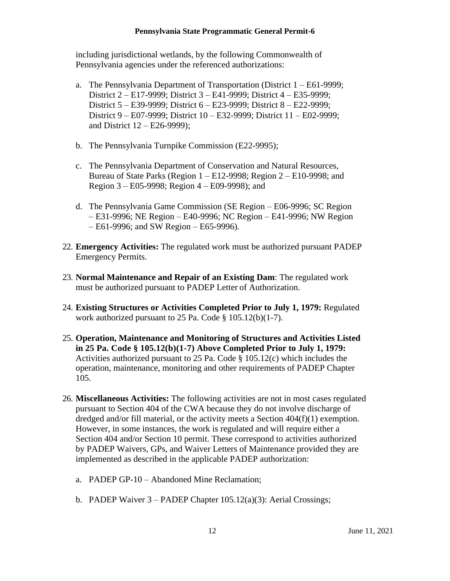including jurisdictional wetlands, by the following Commonwealth of Pennsylvania agencies under the referenced authorizations:

- a. The Pennsylvania Department of Transportation (District 1 E61-9999; District 2 – E17-9999; District 3 – E41-9999; District 4 – E35-9999; District 5 – E39-9999; District 6 – E23-9999; District 8 – E22-9999; District 9 – E07-9999; District 10 – E32-9999; District 11 – E02-9999; and District 12 – E26-9999);
- b. The Pennsylvania Turnpike Commission (E22-9995);
- c. The Pennsylvania Department of Conservation and Natural Resources, Bureau of State Parks (Region 1 – E12-9998; Region 2 – E10-9998; and Region 3 – E05-9998; Region 4 – E09-9998); and
- d. The Pennsylvania Game Commission (SE Region E06-9996; SC Region – E31-9996; NE Region – E40-9996; NC Region – E41-9996; NW Region – E61-9996; and SW Region – E65-9996).
- 22. **Emergency Activities:** The regulated work must be authorized pursuant PADEP Emergency Permits.
- 23. **Normal Maintenance and Repair of an Existing Dam**: The regulated work must be authorized pursuant to PADEP Letter of Authorization.
- 24. **Existing Structures or Activities Completed Prior to July 1, 1979:** Regulated work authorized pursuant to 25 Pa. Code § 105.12(b)(1-7).
- 25. **Operation, Maintenance and Monitoring of Structures and Activities Listed in 25 Pa. Code § 105.12(b)(1-7) Above Completed Prior to July 1, 1979:**  Activities authorized pursuant to 25 Pa. Code § 105.12(c) which includes the operation, maintenance, monitoring and other requirements of PADEP Chapter 105.
- 26. **Miscellaneous Activities:** The following activities are not in most cases regulated pursuant to Section 404 of the CWA because they do not involve discharge of dredged and/or fill material, or the activity meets a Section 404(f)(1) exemption. However, in some instances, the work is regulated and will require either a Section 404 and/or Section 10 permit. These correspond to activities authorized by PADEP Waivers, GPs, and Waiver Letters of Maintenance provided they are implemented as described in the applicable PADEP authorization:
	- a. PADEP GP-10 Abandoned Mine Reclamation;
	- b. PADEP Waiver  $3 -$  PADEP Chapter 105.12(a)(3): Aerial Crossings;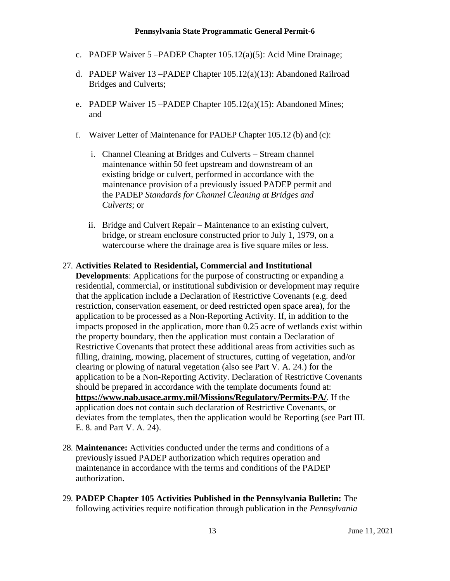- c. PADEP Waiver 5 –PADEP Chapter 105.12(a)(5): Acid Mine Drainage;
- d. PADEP Waiver 13 –PADEP Chapter 105.12(a)(13): Abandoned Railroad Bridges and Culverts;
- e. PADEP Waiver 15 –PADEP Chapter 105.12(a)(15): Abandoned Mines; and
- f. Waiver Letter of Maintenance for PADEP Chapter 105.12 (b) and (c):
	- i. Channel Cleaning at Bridges and Culverts Stream channel maintenance within 50 feet upstream and downstream of an existing bridge or culvert, performed in accordance with the maintenance provision of a previously issued PADEP permit and the PADEP *Standards for Channel Cleaning at Bridges and Culverts*; or
	- ii. Bridge and Culvert Repair Maintenance to an existing culvert, bridge, or stream enclosure constructed prior to July 1, 1979, on a watercourse where the drainage area is five square miles or less.

#### 27. **Activities Related to Residential, Commercial and Institutional**

**Developments**: Applications for the purpose of constructing or expanding a residential, commercial, or institutional subdivision or development may require that the application include a Declaration of Restrictive Covenants (e.g. deed restriction, conservation easement, or deed restricted open space area), for the application to be processed as a Non-Reporting Activity. If, in addition to the impacts proposed in the application, more than 0.25 acre of wetlands exist within the property boundary, then the application must contain a Declaration of Restrictive Covenants that protect these additional areas from activities such as filling, draining, mowing, placement of structures, cutting of vegetation, and/or clearing or plowing of natural vegetation (also see Part V. A. 24.) for the application to be a Non-Reporting Activity. Declaration of Restrictive Covenants should be prepared in accordance with the template documents found at: **<https://www.nab.usace.army.mil/Missions/Regulatory/Permits-PA/>**. If the application does not contain such declaration of Restrictive Covenants, or deviates from the templates, then the application would be Reporting (see Part III. E. 8. and Part V. A. 24).

- 28. **Maintenance:** Activities conducted under the terms and conditions of a previously issued PADEP authorization which requires operation and maintenance in accordance with the terms and conditions of the PADEP authorization.
- 29. **PADEP Chapter 105 Activities Published in the Pennsylvania Bulletin:** The following activities require notification through publication in the *Pennsylvania*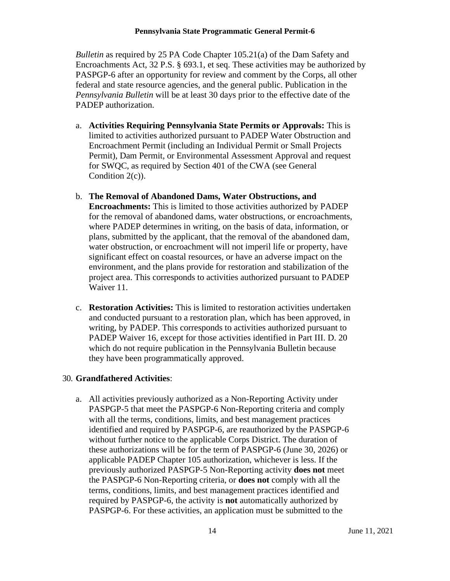*Bulletin* as required by 25 PA Code Chapter 105.21(a) of the Dam Safety and Encroachments Act, 32 P.S. § 693.1, et seq. These activities may be authorized by PASPGP-6 after an opportunity for review and comment by the Corps, all other federal and state resource agencies, and the general public. Publication in the *Pennsylvania Bulletin* will be at least 30 days prior to the effective date of the PADEP authorization.

- a. **Activities Requiring Pennsylvania State Permits or Approvals:** This is limited to activities authorized pursuant to PADEP Water Obstruction and Encroachment Permit (including an Individual Permit or Small Projects Permit), Dam Permit, or Environmental Assessment Approval and request for SWQC, as required by Section 401 of the CWA (see General Condition 2(c)).
- b. **The Removal of Abandoned Dams, Water Obstructions, and Encroachments:** This is limited to those activities authorized by PADEP for the removal of abandoned dams, water obstructions, or encroachments, where PADEP determines in writing, on the basis of data, information, or plans, submitted by the applicant, that the removal of the abandoned dam, water obstruction, or encroachment will not imperil life or property, have significant effect on coastal resources, or have an adverse impact on the environment, and the plans provide for restoration and stabilization of the project area. This corresponds to activities authorized pursuant to PADEP Waiver 11.
- c. **Restoration Activities:** This is limited to restoration activities undertaken and conducted pursuant to a restoration plan, which has been approved, in writing, by PADEP. This corresponds to activities authorized pursuant to PADEP Waiver 16, except for those activities identified in Part III. D. 20 which do not require publication in the Pennsylvania Bulletin because they have been programmatically approved.

### 30. **Grandfathered Activities**:

a. All activities previously authorized as a Non-Reporting Activity under PASPGP-5 that meet the PASPGP-6 Non-Reporting criteria and comply with all the terms, conditions, limits, and best management practices identified and required by PASPGP-6, are reauthorized by the PASPGP-6 without further notice to the applicable Corps District. The duration of these authorizations will be for the term of PASPGP-6 (June 30, 2026) or applicable PADEP Chapter 105 authorization, whichever is less. If the previously authorized PASPGP-5 Non-Reporting activity **does not** meet the PASPGP-6 Non-Reporting criteria, or **does not** comply with all the terms, conditions, limits, and best management practices identified and required by PASPGP-6, the activity is **not** automatically authorized by PASPGP-6. For these activities, an application must be submitted to the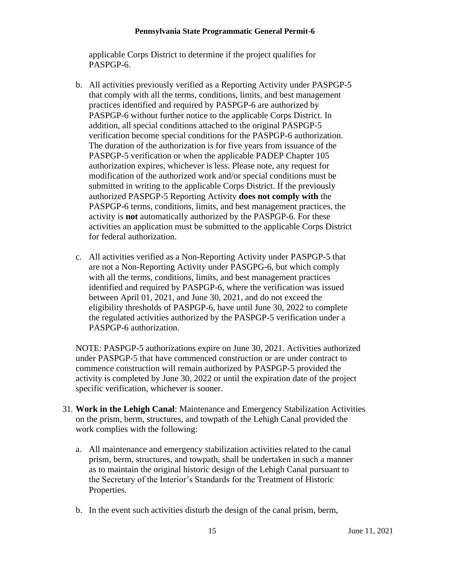applicable Corps District to determine if the project qualifies for PASPGP-6.

- b. All activities previously verified as a Reporting Activity under PASPGP-5 that comply with all the terms, conditions, limits, and best management practices identified and required by PASPGP-6 are authorized by PASPGP-6 without further notice to the applicable Corps District. In addition, all special conditions attached to the original PASPGP-5 verification become special conditions for the PASPGP-6 authorization. The duration of the authorization is for five years from issuance of the PASPGP-5 verification or when the applicable PADEP Chapter 105 authorization expires, whichever is less. Please note, any request for modification of the authorized work and/or special conditions must be submitted in writing to the applicable Corps District. If the previously authorized PASPGP-5 Reporting Activity **does not comply with** the PASPGP-6 terms, conditions, limits, and best management practices, the activity is **not** automatically authorized by the PASPGP-6. For these activities an application must be submitted to the applicable Corps District for federal authorization.
- c. All activities verified as a Non-Reporting Activity under PASPGP-5 that are not a Non-Reporting Activity under PASGPG-6, but which comply with all the terms, conditions, limits, and best management practices identified and required by PASPGP-6, where the verification was issued between April 01, 2021, and June 30, 2021, and do not exceed the eligibility thresholds of PASPGP-6, have until June 30, 2022 to complete the regulated activities authorized by the PASPGP-5 verification under a PASPGP-6 authorization.

NOTE: PASPGP-5 authorizations expire on June 30, 2021. Activities authorized under PASPGP-5 that have commenced construction or are under contract to commence construction will remain authorized by PASPGP-5 provided the activity is completed by June 30, 2022 or until the expiration date of the project specific verification, whichever is sooner.

- 31. **Work in the Lehigh Canal**: Maintenance and Emergency Stabilization Activities on the prism, berm, structures, and towpath of the Lehigh Canal provided the work complies with the following:
	- a. All maintenance and emergency stabilization activities related to the canal prism, berm, structures, and towpath, shall be undertaken in such a manner as to maintain the original historic design of the Lehigh Canal pursuant to the Secretary of the Interior's Standards for the Treatment of Historic Properties.
	- b. In the event such activities disturb the design of the canal prism, berm,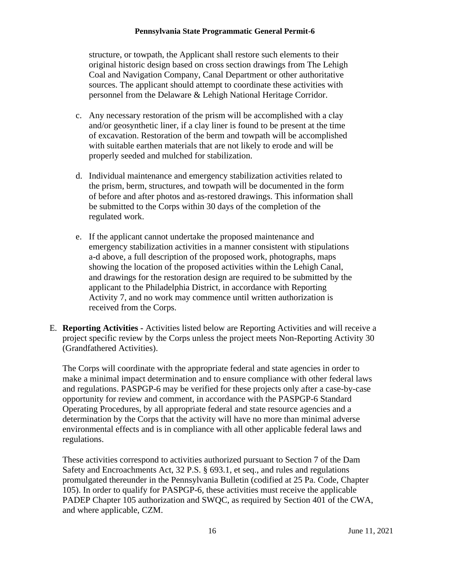structure, or towpath, the Applicant shall restore such elements to their original historic design based on cross section drawings from The Lehigh Coal and Navigation Company, Canal Department or other authoritative sources. The applicant should attempt to coordinate these activities with personnel from the Delaware & Lehigh National Heritage Corridor.

- c. Any necessary restoration of the prism will be accomplished with a clay and/or geosynthetic liner, if a clay liner is found to be present at the time of excavation. Restoration of the berm and towpath will be accomplished with suitable earthen materials that are not likely to erode and will be properly seeded and mulched for stabilization.
- d. Individual maintenance and emergency stabilization activities related to the prism, berm, structures, and towpath will be documented in the form of before and after photos and as-restored drawings. This information shall be submitted to the Corps within 30 days of the completion of the regulated work.
- e. If the applicant cannot undertake the proposed maintenance and emergency stabilization activities in a manner consistent with stipulations a-d above, a full description of the proposed work, photographs, maps showing the location of the proposed activities within the Lehigh Canal, and drawings for the restoration design are required to be submitted by the applicant to the Philadelphia District, in accordance with Reporting Activity 7, and no work may commence until written authorization is received from the Corps.
- E. **Reporting Activities -** Activities listed below are Reporting Activities and will receive a project specific review by the Corps unless the project meets Non-Reporting Activity 30 (Grandfathered Activities).

The Corps will coordinate with the appropriate federal and state agencies in order to make a minimal impact determination and to ensure compliance with other federal laws and regulations. PASPGP-6 may be verified for these projects only after a case-by-case opportunity for review and comment, in accordance with the PASPGP-6 Standard Operating Procedures, by all appropriate federal and state resource agencies and a determination by the Corps that the activity will have no more than minimal adverse environmental effects and is in compliance with all other applicable federal laws and regulations.

These activities correspond to activities authorized pursuant to Section 7 of the Dam Safety and Encroachments Act, 32 P.S. § 693.1, et seq., and rules and regulations promulgated thereunder in the Pennsylvania Bulletin (codified at 25 Pa. Code, Chapter 105). In order to qualify for PASPGP-6, these activities must receive the applicable PADEP Chapter 105 authorization and SWQC, as required by Section 401 of the CWA, and where applicable, CZM.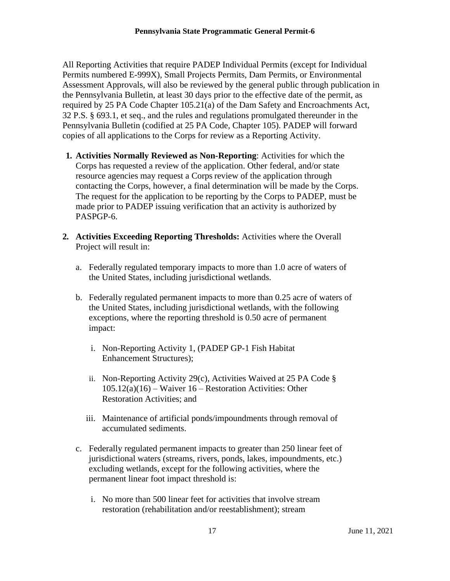All Reporting Activities that require PADEP Individual Permits (except for Individual Permits numbered E-999X), Small Projects Permits, Dam Permits, or Environmental Assessment Approvals, will also be reviewed by the general public through publication in the Pennsylvania Bulletin, at least 30 days prior to the effective date of the permit, as required by 25 PA Code Chapter 105.21(a) of the Dam Safety and Encroachments Act, 32 P.S. § 693.1, et seq., and the rules and regulations promulgated thereunder in the Pennsylvania Bulletin (codified at 25 PA Code, Chapter 105). PADEP will forward copies of all applications to the Corps for review as a Reporting Activity.

- **1. Activities Normally Reviewed as Non-Reporting**: Activities for which the Corps has requested a review of the application. Other federal, and/or state resource agencies may request a Corps review of the application through contacting the Corps, however, a final determination will be made by the Corps. The request for the application to be reporting by the Corps to PADEP, must be made prior to PADEP issuing verification that an activity is authorized by PASPGP-6.
- **2. Activities Exceeding Reporting Thresholds:** Activities where the Overall Project will result in:
	- a. Federally regulated temporary impacts to more than 1.0 acre of waters of the United States, including jurisdictional wetlands.
	- b. Federally regulated permanent impacts to more than 0.25 acre of waters of the United States, including jurisdictional wetlands, with the following exceptions, where the reporting threshold is 0.50 acre of permanent impact:
		- i. Non-Reporting Activity 1, (PADEP GP-1 Fish Habitat Enhancement Structures);
		- ii. Non-Reporting Activity 29(c), Activities Waived at 25 PA Code § 105.12(a)(16) – Waiver 16 – Restoration Activities: Other Restoration Activities; and
		- iii. Maintenance of artificial ponds/impoundments through removal of accumulated sediments.
	- c. Federally regulated permanent impacts to greater than 250 linear feet of jurisdictional waters (streams, rivers, ponds, lakes, impoundments, etc.) excluding wetlands, except for the following activities, where the permanent linear foot impact threshold is:
		- i. No more than 500 linear feet for activities that involve stream restoration (rehabilitation and/or reestablishment); stream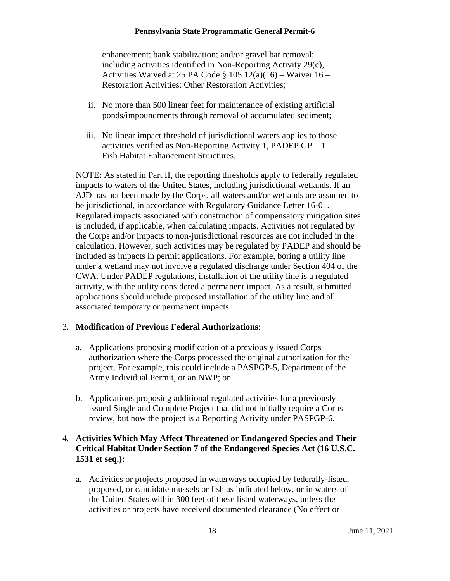enhancement; bank stabilization; and/or gravel bar removal; including activities identified in Non-Reporting Activity 29(c), Activities Waived at 25 PA Code  $\S$  105.12(a)(16) – Waiver 16 – Restoration Activities: Other Restoration Activities;

- ii. No more than 500 linear feet for maintenance of existing artificial ponds/impoundments through removal of accumulated sediment;
- iii. No linear impact threshold of jurisdictional waters applies to those activities verified as Non-Reporting Activity 1, PADEP  $GP - 1$ Fish Habitat Enhancement Structures.

NOTE**:** As stated in Part II, the reporting thresholds apply to federally regulated impacts to waters of the United States, including jurisdictional wetlands. If an AJD has not been made by the Corps, all waters and/or wetlands are assumed to be jurisdictional, in accordance with Regulatory Guidance Letter 16-01. Regulated impacts associated with construction of compensatory mitigation sites is included, if applicable, when calculating impacts. Activities not regulated by the Corps and/or impacts to non-jurisdictional resources are not included in the calculation. However, such activities may be regulated by PADEP and should be included as impacts in permit applications. For example, boring a utility line under a wetland may not involve a regulated discharge under Section 404 of the CWA. Under PADEP regulations, installation of the utility line is a regulated activity, with the utility considered a permanent impact. As a result, submitted applications should include proposed installation of the utility line and all associated temporary or permanent impacts.

## 3. **Modification of Previous Federal Authorizations**:

- a. Applications proposing modification of a previously issued Corps authorization where the Corps processed the original authorization for the project. For example, this could include a PASPGP-5, Department of the Army Individual Permit, or an NWP; or
- b. Applications proposing additional regulated activities for a previously issued Single and Complete Project that did not initially require a Corps review, but now the project is a Reporting Activity under PASPGP-6.

## 4. **Activities Which May Affect Threatened or Endangered Species and Their Critical Habitat Under Section 7 of the Endangered Species Act (16 U.S.C. 1531 et seq.):**

a. Activities or projects proposed in waterways occupied by federally-listed, proposed, or candidate mussels or fish as indicated below, or in waters of the United States within 300 feet of these listed waterways, unless the activities or projects have received documented clearance (No effect or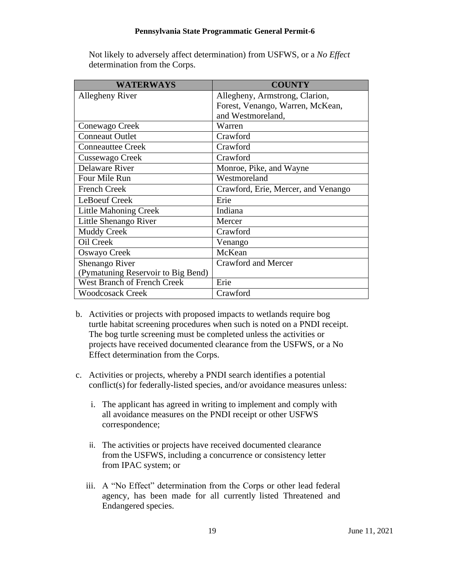Not likely to adversely affect determination) from USFWS, or a *No Effect* determination from the Corps.

| <b>WATERWAYS</b>                   | <b>COUNTY</b>                       |
|------------------------------------|-------------------------------------|
| Allegheny River                    | Allegheny, Armstrong, Clarion,      |
|                                    | Forest, Venango, Warren, McKean,    |
|                                    | and Westmoreland,                   |
| Conewago Creek                     | Warren                              |
| <b>Conneaut Outlet</b>             | Crawford                            |
| <b>Conneauttee Creek</b>           | Crawford                            |
| Cussewago Creek                    | Crawford                            |
| Delaware River                     | Monroe, Pike, and Wayne             |
| Four Mile Run                      | Westmoreland                        |
| <b>French Creek</b>                | Crawford, Erie, Mercer, and Venango |
| LeBoeuf Creek                      | Erie                                |
| <b>Little Mahoning Creek</b>       | Indiana                             |
| Little Shenango River              | Mercer                              |
| <b>Muddy Creek</b>                 | Crawford                            |
| Oil Creek                          | Venango                             |
| Oswayo Creek                       | McKean                              |
| Shenango River                     | <b>Crawford and Mercer</b>          |
| (Pymatuning Reservoir to Big Bend) |                                     |
| <b>West Branch of French Creek</b> | Erie                                |
| <b>Woodcosack Creek</b>            | Crawford                            |

- b. Activities or projects with proposed impacts to wetlands require bog turtle habitat screening procedures when such is noted on a PNDI receipt. The bog turtle screening must be completed unless the activities or projects have received documented clearance from the USFWS, or a No Effect determination from the Corps.
- c. Activities or projects, whereby a PNDI search identifies a potential conflict(s) for federally-listed species, and/or avoidance measures unless:
	- i. The applicant has agreed in writing to implement and comply with all avoidance measures on the PNDI receipt or other USFWS correspondence;
	- ii. The activities or projects have received documented clearance from the USFWS, including a concurrence or consistency letter from IPAC system; or
	- iii. A "No Effect" determination from the Corps or other lead federal agency, has been made for all currently listed Threatened and Endangered species.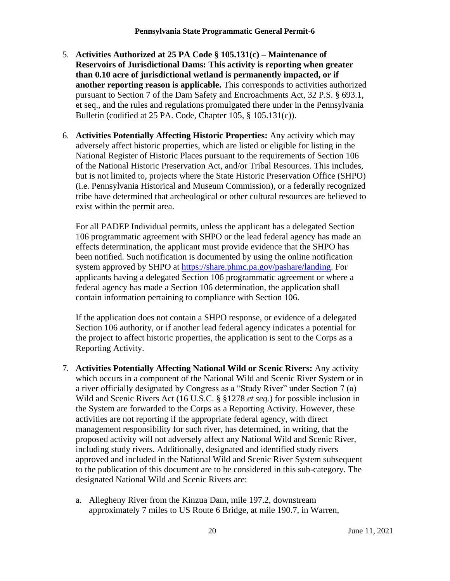- 5. **Activities Authorized at 25 PA Code § 105.131(c) – Maintenance of Reservoirs of Jurisdictional Dams: This activity is reporting when greater than 0.10 acre of jurisdictional wetland is permanently impacted, or if another reporting reason is applicable.** This corresponds to activities authorized pursuant to Section 7 of the Dam Safety and Encroachments Act, 32 P.S. § 693.1, et seq., and the rules and regulations promulgated there under in the Pennsylvania Bulletin (codified at 25 PA. Code, Chapter 105, § 105.131(c)).
- 6. **Activities Potentially Affecting Historic Properties:** Any activity which may adversely affect historic properties, which are listed or eligible for listing in the National Register of Historic Places pursuant to the requirements of Section 106 of the National Historic Preservation Act, and/or Tribal Resources. This includes, but is not limited to, projects where the State Historic Preservation Office (SHPO) (i.e. Pennsylvania Historical and Museum Commission), or a federally recognized tribe have determined that archeological or other cultural resources are believed to exist within the permit area.

For all PADEP Individual permits, unless the applicant has a delegated Section 106 programmatic agreement with SHPO or the lead federal agency has made an effects determination, the applicant must provide evidence that the SHPO has been notified. Such notification is documented by using the online notification system approved by SHPO at [https://share.phmc.pa.gov/pashare/landing.](https://share.phmc.pa.gov/pashare/landing) For applicants having a delegated Section 106 programmatic agreement or where a federal agency has made a Section 106 determination, the application shall contain information pertaining to compliance with Section 106.

If the application does not contain a SHPO response, or evidence of a delegated Section 106 authority, or if another lead federal agency indicates a potential for the project to affect historic properties, the application is sent to the Corps as a Reporting Activity.

- 7. **Activities Potentially Affecting National Wild or Scenic Rivers:** Any activity which occurs in a component of the National Wild and Scenic River System or in a river officially designated by Congress as a "Study River" under Section 7 (a) Wild and Scenic Rivers Act (16 U.S.C. § §1278 *et seq.*) for possible inclusion in the System are forwarded to the Corps as a Reporting Activity. However, these activities are not reporting if the appropriate federal agency, with direct management responsibility for such river, has determined, in writing, that the proposed activity will not adversely affect any National Wild and Scenic River, including study rivers. Additionally, designated and identified study rivers approved and included in the National Wild and Scenic River System subsequent to the publication of this document are to be considered in this sub-category. The designated National Wild and Scenic Rivers are:
	- a. Allegheny River from the Kinzua Dam, mile 197.2, downstream approximately 7 miles to US Route 6 Bridge, at mile 190.7, in Warren,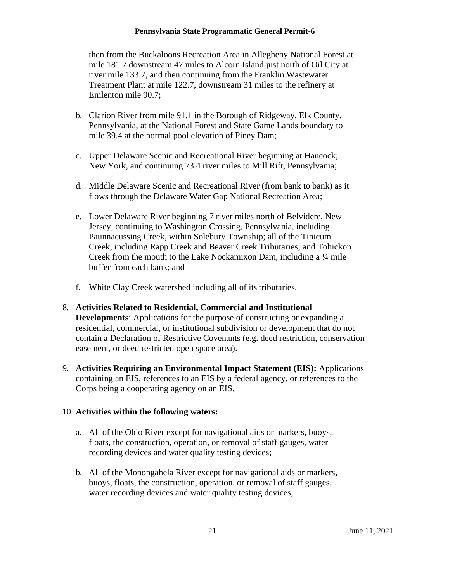then from the Buckaloons Recreation Area in Allegheny National Forest at mile 181.7 downstream 47 miles to Alcorn Island just north of Oil City at river mile 133.7, and then continuing from the Franklin Wastewater Treatment Plant at mile 122.7, downstream 31 miles to the refinery at Emlenton mile 90.7;

- b. Clarion River from mile 91.1 in the Borough of Ridgeway, Elk County, Pennsylvania, at the National Forest and State Game Lands boundary to mile 39.4 at the normal pool elevation of Piney Dam;
- c. Upper Delaware Scenic and Recreational River beginning at Hancock, New York, and continuing 73.4 river miles to Mill Rift, Pennsylvania;
- d. Middle Delaware Scenic and Recreational River (from bank to bank) as it flows through the Delaware Water Gap National Recreation Area;
- e. Lower Delaware River beginning 7 river miles north of Belvidere, New Jersey, continuing to Washington Crossing, Pennsylvania, including Paunnacussing Creek, within Solebury Township; all of the Tinicum Creek, including Rapp Creek and Beaver Creek Tributaries; and Tohickon Creek from the mouth to the Lake Nockamixon Dam, including a ¼ mile buffer from each bank; and
- f. White Clay Creek watershed including all of its tributaries.
- 8. **Activities Related to Residential, Commercial and Institutional Developments**: Applications for the purpose of constructing or expanding a residential, commercial, or institutional subdivision or development that do not contain a Declaration of Restrictive Covenants (e.g. deed restriction, conservation easement, or deed restricted open space area).
- 9. **Activities Requiring an Environmental Impact Statement (EIS):** Applications containing an EIS, references to an EIS by a federal agency, or references to the Corps being a cooperating agency on an EIS.

### 10. **Activities within the following waters:**

- a. All of the Ohio River except for navigational aids or markers, buoys, floats, the construction, operation, or removal of staff gauges, water recording devices and water quality testing devices;
- b. All of the Monongahela River except for navigational aids or markers, buoys, floats, the construction, operation, or removal of staff gauges, water recording devices and water quality testing devices;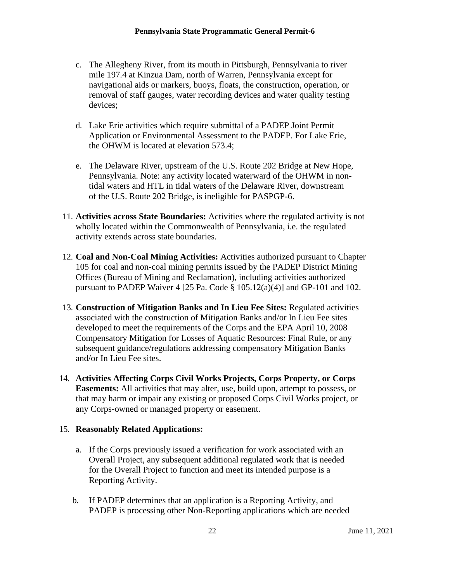- c. The Allegheny River, from its mouth in Pittsburgh, Pennsylvania to river mile 197.4 at Kinzua Dam, north of Warren, Pennsylvania except for navigational aids or markers, buoys, floats, the construction, operation, or removal of staff gauges, water recording devices and water quality testing devices;
- d. Lake Erie activities which require submittal of a PADEP Joint Permit Application or Environmental Assessment to the PADEP. For Lake Erie, the OHWM is located at elevation 573.4;
- e. The Delaware River, upstream of the U.S. Route 202 Bridge at New Hope, Pennsylvania. Note: any activity located waterward of the OHWM in nontidal waters and HTL in tidal waters of the Delaware River, downstream of the U.S. Route 202 Bridge, is ineligible for PASPGP-6.
- 11. **Activities across State Boundaries:** Activities where the regulated activity is not wholly located within the Commonwealth of Pennsylvania, i.e. the regulated activity extends across state boundaries.
- 12. **Coal and Non-Coal Mining Activities:** Activities authorized pursuant to Chapter 105 for coal and non-coal mining permits issued by the PADEP District Mining Offices (Bureau of Mining and Reclamation), including activities authorized pursuant to PADEP Waiver 4 [25 Pa. Code  $\S$  105.12(a)(4)] and GP-101 and 102.
- 13. **Construction of Mitigation Banks and In Lieu Fee Sites:** Regulated activities associated with the construction of Mitigation Banks and/or In Lieu Fee sites developed to meet the requirements of the Corps and the EPA April 10, 2008 Compensatory Mitigation for Losses of Aquatic Resources: Final Rule, or any subsequent guidance/regulations addressing compensatory Mitigation Banks and/or In Lieu Fee sites.
- 14. **Activities Affecting Corps Civil Works Projects, Corps Property, or Corps Easements:** All activities that may alter, use, build upon, attempt to possess, or that may harm or impair any existing or proposed Corps Civil Works project, or any Corps-owned or managed property or easement.

### 15. **Reasonably Related Applications:**

- a. If the Corps previously issued a verification for work associated with an Overall Project, any subsequent additional regulated work that is needed for the Overall Project to function and meet its intended purpose is a Reporting Activity.
- b. If PADEP determines that an application is a Reporting Activity, and PADEP is processing other Non-Reporting applications which are needed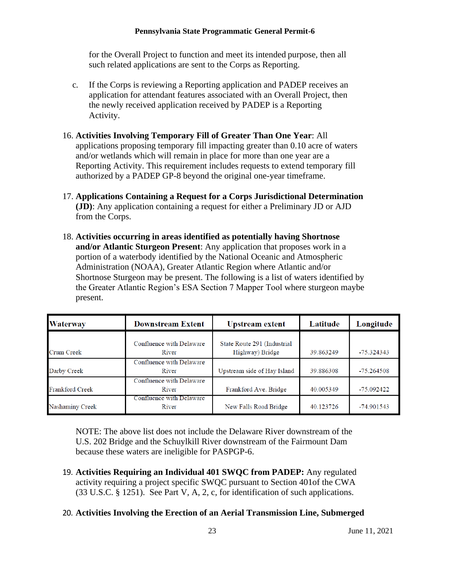for the Overall Project to function and meet its intended purpose, then all such related applications are sent to the Corps as Reporting.

c. If the Corps is reviewing a Reporting application and PADEP receives an application for attendant features associated with an Overall Project, then the newly received application received by PADEP is a Reporting Activity.

## 16. **Activities Involving Temporary Fill of Greater Than One Year**: All

applications proposing temporary fill impacting greater than 0.10 acre of waters and/or wetlands which will remain in place for more than one year are a Reporting Activity. This requirement includes requests to extend temporary fill authorized by a PADEP GP-8 beyond the original one-year timeframe.

- 17. **Applications Containing a Request for a Corps Jurisdictional Determination (JD)**: Any application containing a request for either a Preliminary JD or AJD from the Corps.
- 18. **Activities occurring in areas identified as potentially having Shortnose and/or Atlantic Sturgeon Present**: Any application that proposes work in a portion of a waterbody identified by the National Oceanic and Atmospheric Administration (NOAA), Greater Atlantic Region where Atlantic and/or Shortnose Sturgeon may be present. The following is a list of waters identified by the Greater Atlantic Region's ESA Section 7 Mapper Tool where sturgeon maybe present.

| <b>Waterway</b>        | <b>Downstream Extent</b>          | <b>Upstream extent</b>                         | Latitude  | Longitude    |
|------------------------|-----------------------------------|------------------------------------------------|-----------|--------------|
| <b>Crum Creek</b>      | Confluence with Delaware<br>River | State Route 291 (Industrial<br>Highway) Bridge | 39.863249 | $-75.324343$ |
| Darby Creek            | Confluence with Delaware<br>River | Upstream side of Hay Island                    | 39.886308 | $-75.264508$ |
| <b>Frankford Creek</b> | Confluence with Delaware<br>River | Frankford Ave. Bridge                          | 40.005349 | $-75.092422$ |
| Nashaminy Creek        | Confluence with Delaware<br>River | New Falls Road Bridge                          | 40.123726 | $-74.901543$ |

NOTE: The above list does not include the Delaware River downstream of the U.S. 202 Bridge and the Schuylkill River downstream of the Fairmount Dam because these waters are ineligible for PASPGP-6.

19. **Activities Requiring an Individual 401 SWQC from PADEP:** Any regulated activity requiring a project specific SWQC pursuant to Section 401of the CWA (33 U.S.C. § 1251). See Part V, A, 2, c, for identification of such applications.

### 20. **Activities Involving the Erection of an Aerial Transmission Line, Submerged**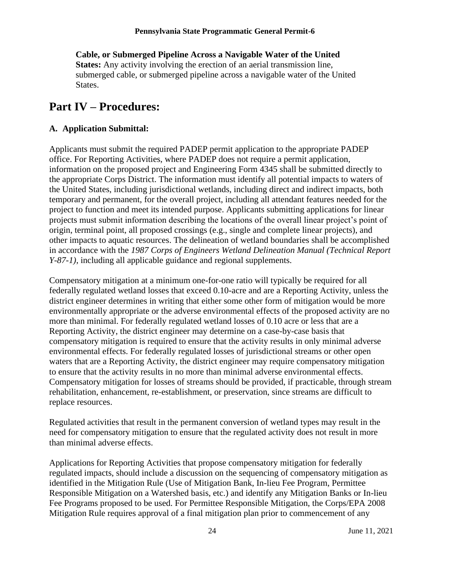**Cable, or Submerged Pipeline Across a Navigable Water of the United States:** Any activity involving the erection of an aerial transmission line, submerged cable, or submerged pipeline across a navigable water of the United States.

## <span id="page-23-0"></span>**Part IV – Procedures:**

## **A. Application Submittal:**

Applicants must submit the required PADEP permit application to the appropriate PADEP office. For Reporting Activities, where PADEP does not require a permit application, information on the proposed project and Engineering Form 4345 shall be submitted directly to the appropriate Corps District. The information must identify all potential impacts to waters of the United States, including jurisdictional wetlands, including direct and indirect impacts, both temporary and permanent, for the overall project, including all attendant features needed for the project to function and meet its intended purpose. Applicants submitting applications for linear projects must submit information describing the locations of the overall linear project's point of origin, terminal point, all proposed crossings (e.g., single and complete linear projects), and other impacts to aquatic resources. The delineation of wetland boundaries shall be accomplished in accordance with the *1987 Corps of Engineers Wetland Delineation Manual (Technical Report Y-87-1)*, including all applicable guidance and regional supplements.

Compensatory mitigation at a minimum one-for-one ratio will typically be required for all federally regulated wetland losses that exceed 0.10-acre and are a Reporting Activity, unless the district engineer determines in writing that either some other form of mitigation would be more environmentally appropriate or the adverse environmental effects of the proposed activity are no more than minimal. For federally regulated wetland losses of 0.10 acre or less that are a Reporting Activity, the district engineer may determine on a case-by-case basis that compensatory mitigation is required to ensure that the activity results in only minimal adverse environmental effects. For federally regulated losses of jurisdictional streams or other open waters that are a Reporting Activity, the district engineer may require compensatory mitigation to ensure that the activity results in no more than minimal adverse environmental effects. Compensatory mitigation for losses of streams should be provided, if practicable, through stream rehabilitation, enhancement, re-establishment, or preservation, since streams are difficult to replace resources.

Regulated activities that result in the permanent conversion of wetland types may result in the need for compensatory mitigation to ensure that the regulated activity does not result in more than minimal adverse effects.

Applications for Reporting Activities that propose compensatory mitigation for federally regulated impacts, should include a discussion on the sequencing of compensatory mitigation as identified in the Mitigation Rule (Use of Mitigation Bank, In-lieu Fee Program, Permittee Responsible Mitigation on a Watershed basis, etc.) and identify any Mitigation Banks or In-lieu Fee Programs proposed to be used. For Permittee Responsible Mitigation, the Corps/EPA 2008 Mitigation Rule requires approval of a final mitigation plan prior to commencement of any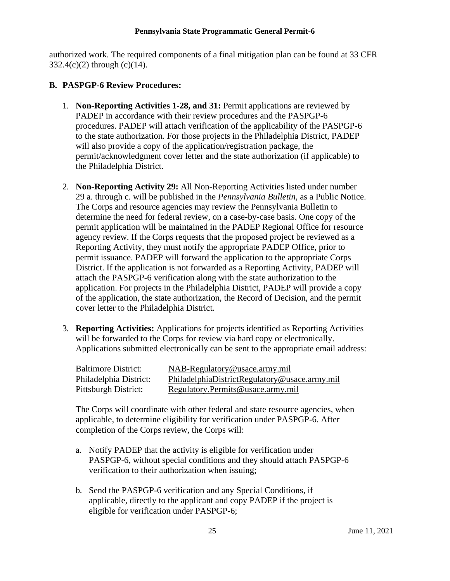authorized work. The required components of a final mitigation plan can be found at 33 CFR  $332.4(c)(2)$  through  $(c)(14)$ .

## **B. PASPGP-6 Review Procedures:**

- 1. **Non-Reporting Activities 1-28, and 31:** Permit applications are reviewed by PADEP in accordance with their review procedures and the PASPGP-6 procedures. PADEP will attach verification of the applicability of the PASPGP-6 to the state authorization. For those projects in the Philadelphia District, PADEP will also provide a copy of the application/registration package, the permit/acknowledgment cover letter and the state authorization (if applicable) to the Philadelphia District.
- 2. **Non-Reporting Activity 29:** All Non-Reporting Activities listed under number 29 a. through c. will be published in the *Pennsylvania Bulletin,* as a Public Notice. The Corps and resource agencies may review the Pennsylvania Bulletin to determine the need for federal review, on a case-by-case basis. One copy of the permit application will be maintained in the PADEP Regional Office for resource agency review. If the Corps requests that the proposed project be reviewed as a Reporting Activity, they must notify the appropriate PADEP Office, prior to permit issuance. PADEP will forward the application to the appropriate Corps District. If the application is not forwarded as a Reporting Activity, PADEP will attach the PASPGP-6 verification along with the state authorization to the application. For projects in the Philadelphia District, PADEP will provide a copy of the application, the state authorization, the Record of Decision, and the permit cover letter to the Philadelphia District.
- 3. **Reporting Activities:** Applications for projects identified as Reporting Activities will be forwarded to the Corps for review via hard copy or electronically. Applications submitted electronically can be sent to the appropriate email address:

| <b>Baltimore District:</b> | NAB-Regulatory@usace.army.mil                 |
|----------------------------|-----------------------------------------------|
| Philadelphia District:     | PhiladelphiaDistrictRegulatory@usace.army.mil |
| Pittsburgh District:       | Regulatory. Permits @usace.army.mil           |

The Corps will coordinate with other federal and state resource agencies, when applicable, to determine eligibility for verification under PASPGP-6. After completion of the Corps review, the Corps will:

- a. Notify PADEP that the activity is eligible for verification under PASPGP-6, without special conditions and they should attach PASPGP-6 verification to their authorization when issuing;
- b. Send the PASPGP-6 verification and any Special Conditions, if applicable, directly to the applicant and copy PADEP if the project is eligible for verification under PASPGP-6;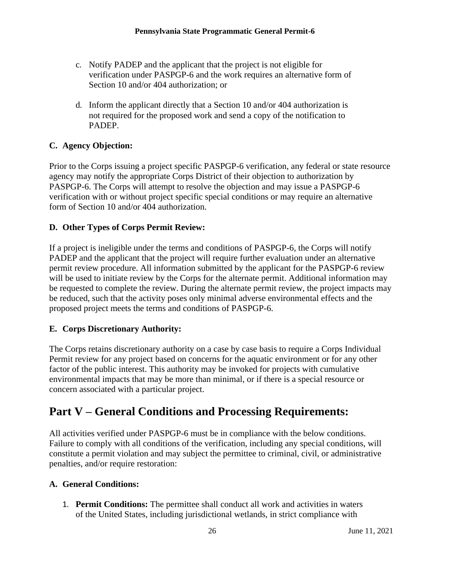- c. Notify PADEP and the applicant that the project is not eligible for verification under PASPGP-6 and the work requires an alternative form of Section 10 and/or 404 authorization; or
- d. Inform the applicant directly that a Section 10 and/or 404 authorization is not required for the proposed work and send a copy of the notification to PADEP.

## **C. Agency Objection:**

Prior to the Corps issuing a project specific PASPGP-6 verification, any federal or state resource agency may notify the appropriate Corps District of their objection to authorization by PASPGP-6. The Corps will attempt to resolve the objection and may issue a PASPGP-6 verification with or without project specific special conditions or may require an alternative form of Section 10 and/or 404 authorization.

## **D. Other Types of Corps Permit Review:**

If a project is ineligible under the terms and conditions of PASPGP-6, the Corps will notify PADEP and the applicant that the project will require further evaluation under an alternative permit review procedure. All information submitted by the applicant for the PASPGP-6 review will be used to initiate review by the Corps for the alternate permit. Additional information may be requested to complete the review. During the alternate permit review, the project impacts may be reduced, such that the activity poses only minimal adverse environmental effects and the proposed project meets the terms and conditions of PASPGP-6.

## **E. Corps Discretionary Authority:**

The Corps retains discretionary authority on a case by case basis to require a Corps Individual Permit review for any project based on concerns for the aquatic environment or for any other factor of the public interest. This authority may be invoked for projects with cumulative environmental impacts that may be more than minimal, or if there is a special resource or concern associated with a particular project.

## **Part V – General Conditions and Processing Requirements:**

All activities verified under PASPGP-6 must be in compliance with the below conditions. Failure to comply with all conditions of the verification, including any special conditions, will constitute a permit violation and may subject the permittee to criminal, civil, or administrative penalties, and/or require restoration:

## <span id="page-25-0"></span>**A. General Conditions:**

1. **Permit Conditions:** The permittee shall conduct all work and activities in waters of the United States, including jurisdictional wetlands, in strict compliance with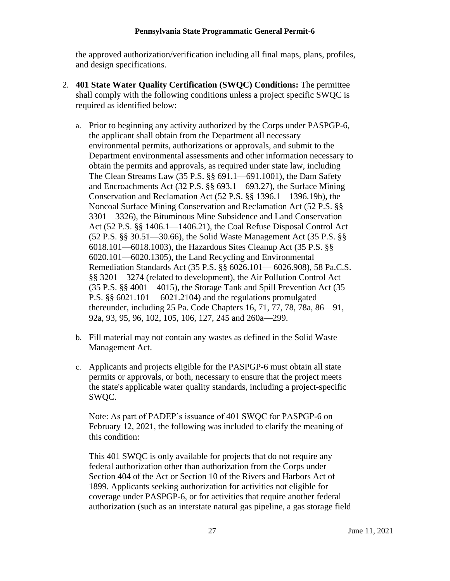the approved authorization/verification including all final maps, plans, profiles, and design specifications.

- 2. **401 State Water Quality Certification (SWQC) Conditions:** The permittee shall comply with the following conditions unless a project specific SWQC is required as identified below:
	- a. Prior to beginning any activity authorized by the Corps under PASPGP-6, the applicant shall obtain from the Department all necessary environmental permits, authorizations or approvals, and submit to the Department environmental assessments and other information necessary to obtain the permits and approvals, as required under state law, including The Clean Streams Law (35 P.S. §§ 691.1—691.1001), the Dam Safety and Encroachments Act (32 P.S. §§ 693.1—693.27), the Surface Mining Conservation and Reclamation Act (52 P.S. §§ 1396.1—1396.19b), the Noncoal Surface Mining Conservation and Reclamation Act (52 P.S. §§ 3301—3326), the Bituminous Mine Subsidence and Land Conservation Act (52 P.S. §§ 1406.1—1406.21), the Coal Refuse Disposal Control Act (52 P.S. §§ 30.51—30.66), the Solid Waste Management Act (35 P.S. §§ 6018.101—6018.1003), the Hazardous Sites Cleanup Act (35 P.S. §§ 6020.101—6020.1305), the Land Recycling and Environmental Remediation Standards Act (35 P.S. §§ 6026.101— 6026.908), 58 Pa.C.S. §§ 3201—3274 (related to development), the Air Pollution Control Act (35 P.S. §§ 4001—4015), the Storage Tank and Spill Prevention Act (35 P.S. §§ 6021.101— 6021.2104) and the regulations promulgated thereunder, including 25 Pa. Code Chapters 16, 71, 77, 78, 78a, 86—91, 92a, 93, 95, 96, 102, 105, 106, 127, 245 and 260a—299.
	- b. Fill material may not contain any wastes as defined in the Solid Waste Management Act.
	- c. Applicants and projects eligible for the PASPGP-6 must obtain all state permits or approvals, or both, necessary to ensure that the project meets the state's applicable water quality standards, including a project-specific SWQC.

Note: As part of PADEP's issuance of 401 SWQC for PASPGP-6 on February 12, 2021, the following was included to clarify the meaning of this condition:

This 401 SWQC is only available for projects that do not require any federal authorization other than authorization from the Corps under Section 404 of the Act or Section 10 of the Rivers and Harbors Act of 1899. Applicants seeking authorization for activities not eligible for coverage under PASPGP-6, or for activities that require another federal authorization (such as an interstate natural gas pipeline, a gas storage field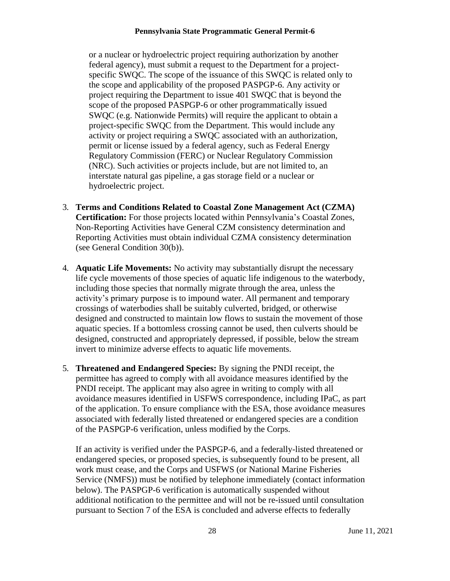or a nuclear or hydroelectric project requiring authorization by another federal agency), must submit a request to the Department for a projectspecific SWQC. The scope of the issuance of this SWQC is related only to the scope and applicability of the proposed PASPGP-6. Any activity or project requiring the Department to issue 401 SWQC that is beyond the scope of the proposed PASPGP-6 or other programmatically issued SWQC (e.g. Nationwide Permits) will require the applicant to obtain a project-specific SWQC from the Department. This would include any activity or project requiring a SWQC associated with an authorization, permit or license issued by a federal agency, such as Federal Energy Regulatory Commission (FERC) or Nuclear Regulatory Commission (NRC). Such activities or projects include, but are not limited to, an interstate natural gas pipeline, a gas storage field or a nuclear or hydroelectric project.

- 3. **Terms and Conditions Related to Coastal Zone Management Act (CZMA) Certification:** For those projects located within Pennsylvania's Coastal Zones, Non-Reporting Activities have General CZM consistency determination and Reporting Activities must obtain individual CZMA consistency determination (see General Condition 30(b)).
- 4. **Aquatic Life Movements:** No activity may substantially disrupt the necessary life cycle movements of those species of aquatic life indigenous to the waterbody, including those species that normally migrate through the area, unless the activity's primary purpose is to impound water. All permanent and temporary crossings of waterbodies shall be suitably culverted, bridged, or otherwise designed and constructed to maintain low flows to sustain the movement of those aquatic species. If a bottomless crossing cannot be used, then culverts should be designed, constructed and appropriately depressed, if possible, below the stream invert to minimize adverse effects to aquatic life movements.
- 5. **Threatened and Endangered Species:** By signing the PNDI receipt, the permittee has agreed to comply with all avoidance measures identified by the PNDI receipt. The applicant may also agree in writing to comply with all avoidance measures identified in USFWS correspondence, including IPaC, as part of the application. To ensure compliance with the ESA, those avoidance measures associated with federally listed threatened or endangered species are a condition of the PASPGP-6 verification, unless modified by the Corps.

If an activity is verified under the PASPGP-6, and a federally-listed threatened or endangered species, or proposed species, is subsequently found to be present, all work must cease, and the Corps and USFWS (or National Marine Fisheries Service (NMFS)) must be notified by telephone immediately (contact information below). The PASPGP-6 verification is automatically suspended without additional notification to the permittee and will not be re-issued until consultation pursuant to Section 7 of the ESA is concluded and adverse effects to federally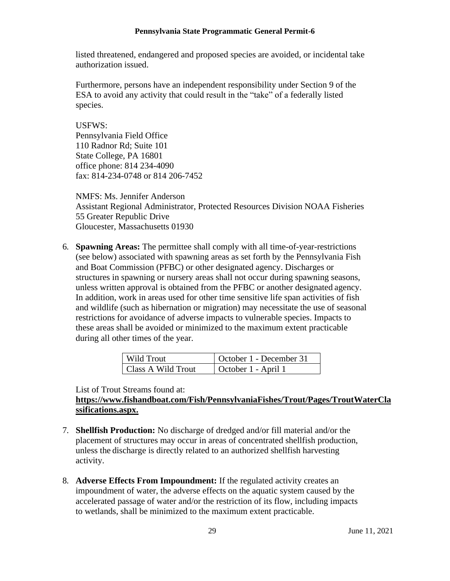listed threatened, endangered and proposed species are avoided, or incidental take authorization issued.

Furthermore, persons have an independent responsibility under Section 9 of the ESA to avoid any activity that could result in the "take" of a federally listed species.

### USFWS:

Pennsylvania Field Office 110 Radnor Rd; Suite 101 State College, PA 16801 office phone: 814 234-4090 fax: 814-234-0748 or 814 206-7452

NMFS: Ms. Jennifer Anderson Assistant Regional Administrator, Protected Resources Division NOAA Fisheries 55 Greater Republic Drive Gloucester, Massachusetts 01930

6. **Spawning Areas:** The permittee shall comply with all time-of-year-restrictions (see below) associated with spawning areas as set forth by the Pennsylvania Fish and Boat Commission (PFBC) or other designated agency. Discharges or structures in spawning or nursery areas shall not occur during spawning seasons, unless written approval is obtained from the PFBC or another designated agency. In addition, work in areas used for other time sensitive life span activities of fish and wildlife (such as hibernation or migration) may necessitate the use of seasonal restrictions for avoidance of adverse impacts to vulnerable species. Impacts to these areas shall be avoided or minimized to the maximum extent practicable during all other times of the year.

| Wild Trout         | October 1 - December 31 |
|--------------------|-------------------------|
| Class A Wild Trout | October 1 - April 1     |

List of Trout Streams found at:

## **[https://www.fishandboat.com/Fish/PennsylvaniaFishes/Trout/Pages/TroutWaterCla](https://www.fishandboat.com/Fish/PennsylvaniaFishes/Trout/Pages/TroutWaterClassifications.aspx) [ssifications.aspx.](https://www.fishandboat.com/Fish/PennsylvaniaFishes/Trout/Pages/TroutWaterClassifications.aspx)**

- 7. **Shellfish Production:** No discharge of dredged and/or fill material and/or the placement of structures may occur in areas of concentrated shellfish production, unless the discharge is directly related to an authorized shellfish harvesting activity.
- 8. **Adverse Effects From Impoundment:** If the regulated activity creates an impoundment of water, the adverse effects on the aquatic system caused by the accelerated passage of water and/or the restriction of its flow, including impacts to wetlands, shall be minimized to the maximum extent practicable.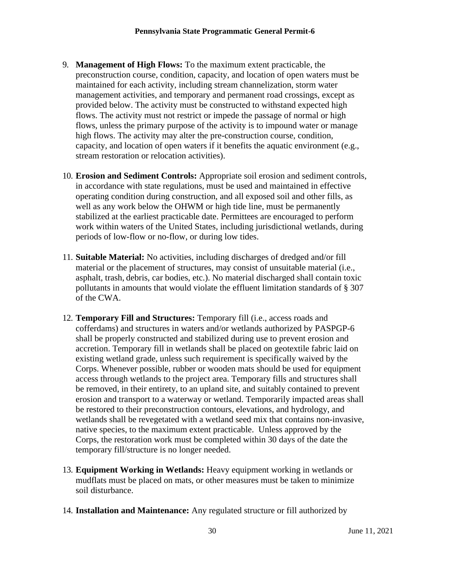- 9. **Management of High Flows:** To the maximum extent practicable, the preconstruction course, condition, capacity, and location of open waters must be maintained for each activity, including stream channelization, storm water management activities, and temporary and permanent road crossings, except as provided below. The activity must be constructed to withstand expected high flows. The activity must not restrict or impede the passage of normal or high flows, unless the primary purpose of the activity is to impound water or manage high flows. The activity may alter the pre-construction course, condition, capacity, and location of open waters if it benefits the aquatic environment (e.g., stream restoration or relocation activities).
- 10. **Erosion and Sediment Controls:** Appropriate soil erosion and sediment controls, in accordance with state regulations, must be used and maintained in effective operating condition during construction, and all exposed soil and other fills, as well as any work below the OHWM or high tide line, must be permanently stabilized at the earliest practicable date. Permittees are encouraged to perform work within waters of the United States, including jurisdictional wetlands, during periods of low-flow or no-flow, or during low tides.
- 11. **Suitable Material:** No activities, including discharges of dredged and/or fill material or the placement of structures, may consist of unsuitable material (i.e., asphalt, trash, debris, car bodies, etc.). No material discharged shall contain toxic pollutants in amounts that would violate the effluent limitation standards of § 307 of the CWA.
- 12. **Temporary Fill and Structures:** Temporary fill (i.e., access roads and cofferdams) and structures in waters and/or wetlands authorized by PASPGP-6 shall be properly constructed and stabilized during use to prevent erosion and accretion. Temporary fill in wetlands shall be placed on geotextile fabric laid on existing wetland grade, unless such requirement is specifically waived by the Corps. Whenever possible, rubber or wooden mats should be used for equipment access through wetlands to the project area. Temporary fills and structures shall be removed, in their entirety, to an upland site, and suitably contained to prevent erosion and transport to a waterway or wetland. Temporarily impacted areas shall be restored to their preconstruction contours, elevations, and hydrology, and wetlands shall be revegetated with a wetland seed mix that contains non-invasive, native species, to the maximum extent practicable. Unless approved by the Corps, the restoration work must be completed within 30 days of the date the temporary fill/structure is no longer needed.
- 13. **Equipment Working in Wetlands:** Heavy equipment working in wetlands or mudflats must be placed on mats, or other measures must be taken to minimize soil disturbance.
- 14. **Installation and Maintenance:** Any regulated structure or fill authorized by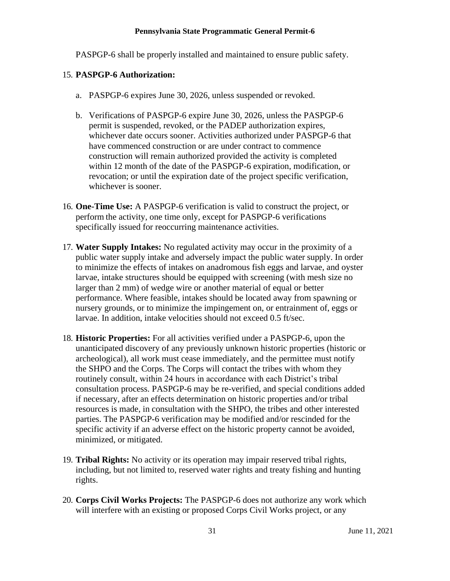PASPGP-6 shall be properly installed and maintained to ensure public safety.

## 15. **PASPGP-6 Authorization:**

- a. PASPGP-6 expires June 30, 2026, unless suspended or revoked.
- b. Verifications of PASPGP-6 expire June 30, 2026, unless the PASPGP-6 permit is suspended, revoked, or the PADEP authorization expires, whichever date occurs sooner. Activities authorized under PASPGP-6 that have commenced construction or are under contract to commence construction will remain authorized provided the activity is completed within 12 month of the date of the PASPGP-6 expiration, modification, or revocation; or until the expiration date of the project specific verification, whichever is sooner.
- 16. **One-Time Use:** A PASPGP-6 verification is valid to construct the project, or perform the activity, one time only, except for PASPGP-6 verifications specifically issued for reoccurring maintenance activities.
- 17. **Water Supply Intakes:** No regulated activity may occur in the proximity of a public water supply intake and adversely impact the public water supply. In order to minimize the effects of intakes on anadromous fish eggs and larvae, and oyster larvae, intake structures should be equipped with screening (with mesh size no larger than 2 mm) of wedge wire or another material of equal or better performance. Where feasible, intakes should be located away from spawning or nursery grounds, or to minimize the impingement on, or entrainment of, eggs or larvae. In addition, intake velocities should not exceed 0.5 ft/sec.
- 18. **Historic Properties:** For all activities verified under a PASPGP-6, upon the unanticipated discovery of any previously unknown historic properties (historic or archeological), all work must cease immediately, and the permittee must notify the SHPO and the Corps. The Corps will contact the tribes with whom they routinely consult, within 24 hours in accordance with each District's tribal consultation process. PASPGP-6 may be re-verified, and special conditions added if necessary, after an effects determination on historic properties and/or tribal resources is made, in consultation with the SHPO, the tribes and other interested parties. The PASPGP-6 verification may be modified and/or rescinded for the specific activity if an adverse effect on the historic property cannot be avoided, minimized, or mitigated.
- 19. **Tribal Rights:** No activity or its operation may impair reserved tribal rights, including, but not limited to, reserved water rights and treaty fishing and hunting rights.
- 20. **Corps Civil Works Projects:** The PASPGP-6 does not authorize any work which will interfere with an existing or proposed Corps Civil Works project, or any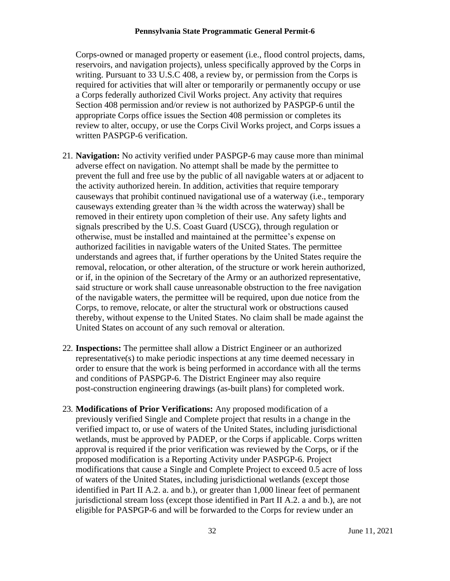Corps-owned or managed property or easement (i.e., flood control projects, dams, reservoirs, and navigation projects), unless specifically approved by the Corps in writing. Pursuant to 33 U.S.C 408, a review by, or permission from the Corps is required for activities that will alter or temporarily or permanently occupy or use a Corps federally authorized Civil Works project. Any activity that requires Section 408 permission and/or review is not authorized by PASPGP-6 until the appropriate Corps office issues the Section 408 permission or completes its review to alter, occupy, or use the Corps Civil Works project, and Corps issues a written PASPGP-6 verification.

- 21. **Navigation:** No activity verified under PASPGP-6 may cause more than minimal adverse effect on navigation. No attempt shall be made by the permittee to prevent the full and free use by the public of all navigable waters at or adjacent to the activity authorized herein. In addition, activities that require temporary causeways that prohibit continued navigational use of a waterway (i.e., temporary causeways extending greater than ¾ the width across the waterway) shall be removed in their entirety upon completion of their use. Any safety lights and signals prescribed by the U.S. Coast Guard (USCG), through regulation or otherwise, must be installed and maintained at the permittee's expense on authorized facilities in navigable waters of the United States. The permittee understands and agrees that, if further operations by the United States require the removal, relocation, or other alteration, of the structure or work herein authorized, or if, in the opinion of the Secretary of the Army or an authorized representative, said structure or work shall cause unreasonable obstruction to the free navigation of the navigable waters, the permittee will be required, upon due notice from the Corps, to remove, relocate, or alter the structural work or obstructions caused thereby, without expense to the United States. No claim shall be made against the United States on account of any such removal or alteration.
- 22. **Inspections:** The permittee shall allow a District Engineer or an authorized representative(s) to make periodic inspections at any time deemed necessary in order to ensure that the work is being performed in accordance with all the terms and conditions of PASPGP-6. The District Engineer may also require post-construction engineering drawings (as-built plans) for completed work.
- 23. **Modifications of Prior Verifications:** Any proposed modification of a previously verified Single and Complete project that results in a change in the verified impact to, or use of waters of the United States, including jurisdictional wetlands, must be approved by PADEP, or the Corps if applicable. Corps written approval is required if the prior verification was reviewed by the Corps, or if the proposed modification is a Reporting Activity under PASPGP-6. Project modifications that cause a Single and Complete Project to exceed 0.5 acre of loss of waters of the United States, including jurisdictional wetlands (except those identified in Part II A.2. a. and b.), or greater than 1,000 linear feet of permanent jurisdictional stream loss (except those identified in Part II A.2. a and b.), are not eligible for PASPGP-6 and will be forwarded to the Corps for review under an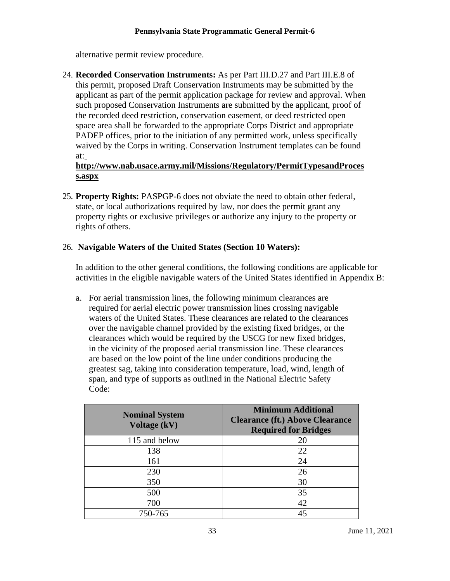alternative permit review procedure.

24. **Recorded Conservation Instruments:** As per Part III.D.27 and Part III.E.8 of this permit, proposed Draft Conservation Instruments may be submitted by the applicant as part of the permit application package for review and approval. When such proposed Conservation Instruments are submitted by the applicant, proof of the recorded deed restriction, conservation easement, or deed restricted open space area shall be forwarded to the appropriate Corps District and appropriate PADEP offices, prior to the initiation of any permitted work, unless specifically waived by the Corps in writing. Conservation Instrument templates can be found at:

## **[http://www.nab.usace.army.mil/Missions/Regulatory/PermitTypesandProces](http://www.nab.usace.army.mil/Missions/Regulatory/PermitTypesandProcess.aspx) [s.aspx](http://www.nab.usace.army.mil/Missions/Regulatory/PermitTypesandProcess.aspx)**

25. **Property Rights:** PASPGP-6 does not obviate the need to obtain other federal, state, or local authorizations required by law, nor does the permit grant any property rights or exclusive privileges or authorize any injury to the property or rights of others.

## 26. **Navigable Waters of the United States (Section 10 Waters):**

In addition to the other general conditions, the following conditions are applicable for activities in the eligible navigable waters of the United States identified in Appendix B:

a. For aerial transmission lines, the following minimum clearances are required for aerial electric power transmission lines crossing navigable waters of the United States. These clearances are related to the clearances over the navigable channel provided by the existing fixed bridges, or the clearances which would be required by the USCG for new fixed bridges, in the vicinity of the proposed aerial transmission line. These clearances are based on the low point of the line under conditions producing the greatest sag, taking into consideration temperature, load, wind, length of span, and type of supports as outlined in the National Electric Safety Code:

| <b>Nominal System</b><br>Voltage (kV) | <b>Minimum Additional</b><br><b>Clearance (ft.) Above Clearance</b><br><b>Required for Bridges</b> |  |
|---------------------------------------|----------------------------------------------------------------------------------------------------|--|
| 115 and below                         | 20                                                                                                 |  |
| 138                                   | 22                                                                                                 |  |
| 161                                   | 24                                                                                                 |  |
| 230                                   | 26                                                                                                 |  |
| 350                                   | 30                                                                                                 |  |
| 500                                   | 35                                                                                                 |  |
| 700                                   | 42                                                                                                 |  |
| 750-765                               | 45                                                                                                 |  |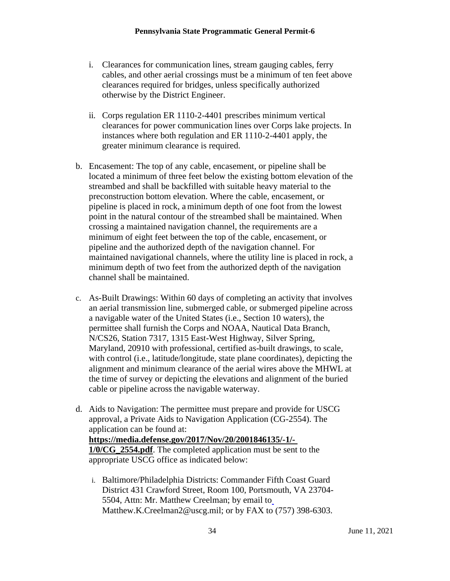- i. Clearances for communication lines, stream gauging cables, ferry cables, and other aerial crossings must be a minimum of ten feet above clearances required for bridges, unless specifically authorized otherwise by the District Engineer.
- ii. Corps regulation ER 1110-2-4401 prescribes minimum vertical clearances for power communication lines over Corps lake projects. In instances where both regulation and ER 1110-2-4401 apply, the greater minimum clearance is required.
- b. Encasement: The top of any cable, encasement, or pipeline shall be located a minimum of three feet below the existing bottom elevation of the streambed and shall be backfilled with suitable heavy material to the preconstruction bottom elevation. Where the cable, encasement, or pipeline is placed in rock, a minimum depth of one foot from the lowest point in the natural contour of the streambed shall be maintained. When crossing a maintained navigation channel, the requirements are a minimum of eight feet between the top of the cable, encasement, or pipeline and the authorized depth of the navigation channel. For maintained navigational channels, where the utility line is placed in rock, a minimum depth of two feet from the authorized depth of the navigation channel shall be maintained.
- c. As-Built Drawings: Within 60 days of completing an activity that involves an aerial transmission line, submerged cable, or submerged pipeline across a navigable water of the United States (i.e., Section 10 waters), the permittee shall furnish the Corps and NOAA, Nautical Data Branch, N/CS26, Station 7317, 1315 East-West Highway, Silver Spring, Maryland, 20910 with professional, certified as-built drawings, to scale, with control (i.e., latitude/longitude, state plane coordinates), depicting the alignment and minimum clearance of the aerial wires above the MHWL at the time of survey or depicting the elevations and alignment of the buried cable or pipeline across the navigable waterway.
- d. Aids to Navigation: The permittee must prepare and provide for USCG approval, a Private Aids to Navigation Application (CG-2554). The application can be found at: **https://media.defense.gov/2017/Nov/20/2001846135/-1/- 1/0/CG\_2554.pdf**. The completed application must be sent to the appropriate USCG office as indicated below:
	- i. Baltimore/Philadelphia Districts: Commander Fifth Coast Guard District 431 Crawford Street, Room 100, Portsmouth, VA 23704- 5504, Attn: Mr. Matthew Creelman; by email to [Matthew.K.Creelman2@uscg.mil;](mailto:Matthew.K.Creelman2@uscg.mil) or by FAX to (757) 398-6303.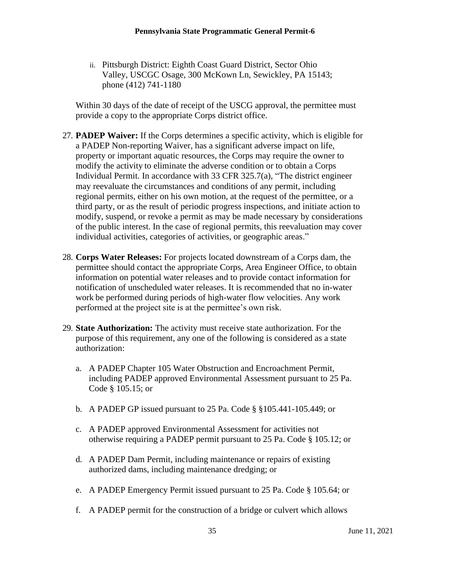ii. Pittsburgh District: Eighth Coast Guard District, Sector Ohio Valley, USCGC Osage, 300 McKown Ln, Sewickley, PA 15143; phone (412) 741-1180

Within 30 days of the date of receipt of the USCG approval, the permittee must provide a copy to the appropriate Corps district office.

- 27. **PADEP Waiver:** If the Corps determines a specific activity, which is eligible for a PADEP Non-reporting Waiver, has a significant adverse impact on life, property or important aquatic resources, the Corps may require the owner to modify the activity to eliminate the adverse condition or to obtain a Corps Individual Permit. In accordance with 33 CFR 325.7(a), "The district engineer may reevaluate the circumstances and conditions of any permit, including regional permits, either on his own motion, at the request of the permittee, or a third party, or as the result of periodic progress inspections, and initiate action to modify, suspend, or revoke a permit as may be made necessary by considerations of the public interest. In the case of regional permits, this reevaluation may cover individual activities, categories of activities, or geographic areas."
- 28. **Corps Water Releases:** For projects located downstream of a Corps dam, the permittee should contact the appropriate Corps, Area Engineer Office, to obtain information on potential water releases and to provide contact information for notification of unscheduled water releases. It is recommended that no in-water work be performed during periods of high-water flow velocities. Any work performed at the project site is at the permittee's own risk.
- 29. **State Authorization:** The activity must receive state authorization. For the purpose of this requirement, any one of the following is considered as a state authorization:
	- a. A PADEP Chapter 105 Water Obstruction and Encroachment Permit, including PADEP approved Environmental Assessment pursuant to 25 Pa. Code § 105.15; or
	- b. A PADEP GP issued pursuant to 25 Pa. Code § §105.441-105.449; or
	- c. A PADEP approved Environmental Assessment for activities not otherwise requiring a PADEP permit pursuant to 25 Pa. Code § 105.12; or
	- d. A PADEP Dam Permit, including maintenance or repairs of existing authorized dams, including maintenance dredging; or
	- e. A PADEP Emergency Permit issued pursuant to 25 Pa. Code § 105.64; or
	- f. A PADEP permit for the construction of a bridge or culvert which allows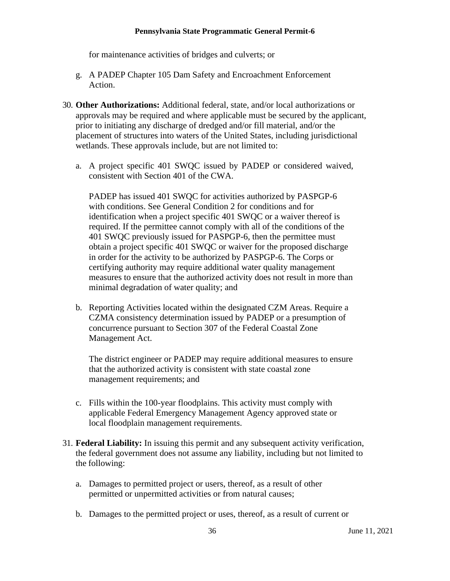for maintenance activities of bridges and culverts; or

- g. A PADEP Chapter 105 Dam Safety and Encroachment Enforcement Action.
- 30. **Other Authorizations:** Additional federal, state, and/or local authorizations or approvals may be required and where applicable must be secured by the applicant, prior to initiating any discharge of dredged and/or fill material, and/or the placement of structures into waters of the United States, including jurisdictional wetlands. These approvals include, but are not limited to:
	- a. A project specific 401 SWQC issued by PADEP or considered waived, consistent with Section 401 of the CWA.

PADEP has issued 401 SWQC for activities authorized by PASPGP-6 with conditions. See General Condition 2 for conditions and for identification when a project specific 401 SWQC or a waiver thereof is required. If the permittee cannot comply with all of the conditions of the 401 SWQC previously issued for PASPGP-6, then the permittee must obtain a project specific 401 SWQC or waiver for the proposed discharge in order for the activity to be authorized by PASPGP-6. The Corps or certifying authority may require additional water quality management measures to ensure that the authorized activity does not result in more than minimal degradation of water quality; and

b. Reporting Activities located within the designated CZM Areas. Require a CZMA consistency determination issued by PADEP or a presumption of concurrence pursuant to Section 307 of the Federal Coastal Zone Management Act.

The district engineer or PADEP may require additional measures to ensure that the authorized activity is consistent with state coastal zone management requirements; and

- c. Fills within the 100-year floodplains. This activity must comply with applicable Federal Emergency Management Agency approved state or local floodplain management requirements.
- 31. **Federal Liability:** In issuing this permit and any subsequent activity verification, the federal government does not assume any liability, including but not limited to the following:
	- a. Damages to permitted project or users, thereof, as a result of other permitted or unpermitted activities or from natural causes;
	- b. Damages to the permitted project or uses, thereof, as a result of current or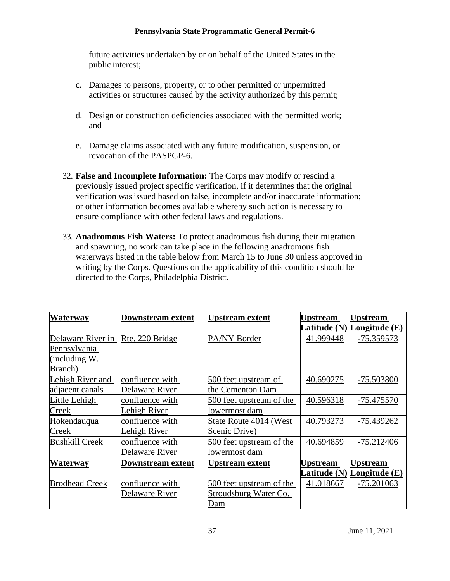future activities undertaken by or on behalf of the United States in the public interest;

- c. Damages to persons, property, or to other permitted or unpermitted activities or structures caused by the activity authorized by this permit;
- d. Design or construction deficiencies associated with the permitted work; and
- e. Damage claims associated with any future modification, suspension, or revocation of the PASPGP-6.
- 32. **False and Incomplete Information:** The Corps may modify or rescind a previously issued project specific verification, if it determines that the original verification wasissued based on false, incomplete and/or inaccurate information; or other information becomes available whereby such action is necessary to ensure compliance with other federal laws and regulations.
- 33. **Anadromous Fish Waters:** To protect anadromous fish during their migration and spawning, no work can take place in the following anadromous fish waterways listed in the table below from March 15 to June 30 unless approved in writing by the Corps. Questions on the applicability of this condition should be directed to the Corps, Philadelphia District.

| Waterway              | Downstream extent | <b>Upstream</b> extent   | <b>Upstream</b> | <b>Upstream</b>            |
|-----------------------|-------------------|--------------------------|-----------------|----------------------------|
|                       |                   |                          |                 | Latitude (N) Longitude (E) |
| Delaware River in     | Rte. 220 Bridge   | PA/NY Border             | 41.999448       | -75.359573                 |
| Pennsylvania          |                   |                          |                 |                            |
| (including W.         |                   |                          |                 |                            |
| Branch)               |                   |                          |                 |                            |
| Lehigh River and      | confluence with   | 500 feet upstream of     | 40.690275       | -75.503800                 |
| adjacent canals       | Delaware River    | the Cementon Dam         |                 |                            |
| Little Lehigh         | confluence with   | 500 feet upstream of the | 40.596318       | $-75.475570$               |
| Creek                 | Lehigh River      | lowermost dam            |                 |                            |
| Hokendauqua           | confluence with   | State Route 4014 (West   | 40.793273       | -75.439262                 |
| <b>Creek</b>          | Lehigh River      | Scenic Drive)            |                 |                            |
| <b>Bushkill Creek</b> | confluence with   | 500 feet upstream of the | 40.694859       | $-75.212406$               |
|                       | Delaware River    | lowermost dam            |                 |                            |
| <b>Waterway</b>       | Downstream extent | <b>Upstream extent</b>   | Upstream        | <b>Upstream</b>            |
|                       |                   |                          | Latitude (N)    | <b>Longitude</b> $(E)$     |
| <b>Brodhead Creek</b> | confluence with   | 500 feet upstream of the | 41.018667       | $-75.201063$               |
|                       | Delaware River    | Stroudsburg Water Co.    |                 |                            |
|                       |                   | Dam                      |                 |                            |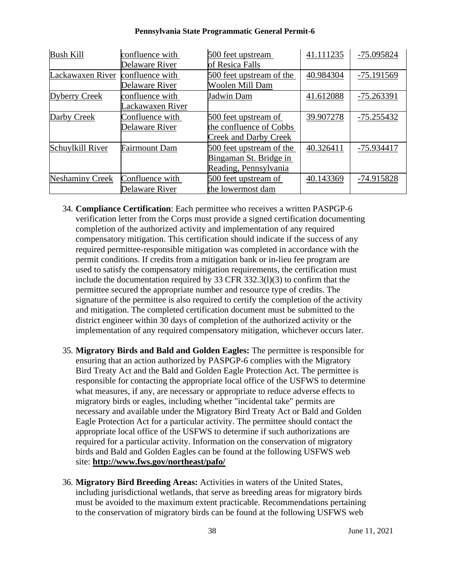| <b>Bush Kill</b>       | confluence with      | 500 feet upstream            | 41.111235 | -75.095824   |
|------------------------|----------------------|------------------------------|-----------|--------------|
|                        | Delaware River       | of Resica Falls              |           |              |
| Lackawaxen River       | confluence with      | 500 feet upstream of the     | 40.984304 | -75.191569   |
|                        | Delaware River       | <b>Woolen Mill Dam</b>       |           |              |
| <b>Dyberry Creek</b>   | confluence with      | <b>Jadwin Dam</b>            | 41.612088 | -75.263391   |
|                        | Lackawaxen River     |                              |           |              |
| Darby Creek            | Confluence with      | 500 feet upstream of         | 39.907278 | $-75.255432$ |
|                        | Delaware River       | the confluence of Cobbs      |           |              |
|                        |                      | <b>Creek and Darby Creek</b> |           |              |
| Schuylkill River       | <b>Fairmount Dam</b> | 500 feet upstream of the     | 40.326411 | -75.934417   |
|                        |                      | Bingaman St. Bridge in       |           |              |
|                        |                      | Reading, Pennsylvania        |           |              |
| <b>Neshaminy Creek</b> | Confluence with      | 500 feet upstream of         | 40.143369 | -74.915828   |
|                        | Delaware River       | the lowermost dam            |           |              |

- 34. **Compliance Certification**: Each permittee who receives a written PASPGP-6 verification letter from the Corps must provide a signed certification documenting completion of the authorized activity and implementation of any required compensatory mitigation. This certification should indicate if the success of any required permittee-responsible mitigation was completed in accordance with the permit conditions. If credits from a mitigation bank or in-lieu fee program are used to satisfy the compensatory mitigation requirements, the certification must include the documentation required by 33 CFR 332.3(l)(3) to confirm that the permittee secured the appropriate number and resource type of credits. The signature of the permittee is also required to certify the completion of the activity and mitigation. The completed certification document must be submitted to the district engineer within 30 days of completion of the authorized activity or the implementation of any required compensatory mitigation, whichever occurs later.
- 35. **Migratory Birds and Bald and Golden Eagles:** The permittee is responsible for ensuring that an action authorized by PASPGP-6 complies with the Migratory Bird Treaty Act and the Bald and Golden Eagle Protection Act. The permittee is responsible for contacting the appropriate local office of the USFWS to determine what measures, if any, are necessary or appropriate to reduce adverse effects to migratory birds or eagles, including whether "incidental take" permits are necessary and available under the Migratory Bird Treaty Act or Bald and Golden Eagle Protection Act for a particular activity. The permittee should contact the appropriate local office of the USFWS to determine if such authorizations are required for a particular activity. Information on the conservation of migratory birds and Bald and Golden Eagles can be found at the following USFWS web site: **<http://www.fws.gov/northeast/pafo/>**
- 36. **Migratory Bird Breeding Areas:** Activities in waters of the United States, including jurisdictional wetlands, that serve as breeding areas for migratory birds must be avoided to the maximum extent practicable. Recommendations pertaining to the conservation of migratory birds can be found at the following USFWS web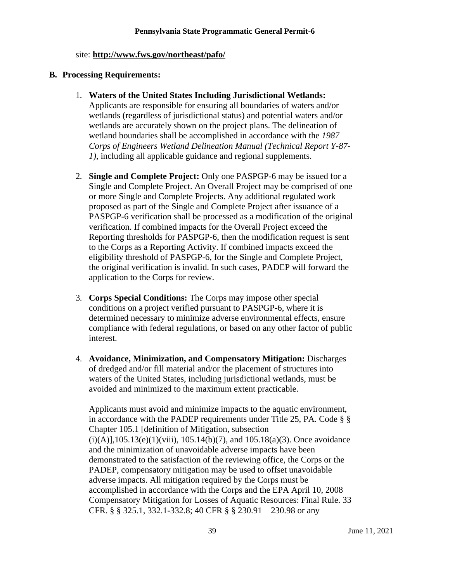#### site: **<http://www.fws.gov/northeast/pafo/>**

#### <span id="page-38-0"></span>**B. Processing Requirements:**

- 1. **Waters of the United States Including Jurisdictional Wetlands:**  Applicants are responsible for ensuring all boundaries of waters and/or wetlands (regardless of jurisdictional status) and potential waters and/or wetlands are accurately shown on the project plans. The delineation of wetland boundaries shall be accomplished in accordance with the *1987 Corps of Engineers Wetland Delineation Manual (Technical Report Y-87- 1)*, including all applicable guidance and regional supplements.
- 2. **Single and Complete Project:** Only one PASPGP-6 may be issued for a Single and Complete Project. An Overall Project may be comprised of one or more Single and Complete Projects. Any additional regulated work proposed as part of the Single and Complete Project after issuance of a PASPGP-6 verification shall be processed as a modification of the original verification. If combined impacts for the Overall Project exceed the Reporting thresholds for PASPGP-6, then the modification request is sent to the Corps as a Reporting Activity. If combined impacts exceed the eligibility threshold of PASPGP-6, for the Single and Complete Project, the original verification is invalid. In such cases, PADEP will forward the application to the Corps for review.
- 3. **Corps Special Conditions:** The Corps may impose other special conditions on a project verified pursuant to PASPGP-6, where it is determined necessary to minimize adverse environmental effects, ensure compliance with federal regulations, or based on any other factor of public interest.
- 4. **Avoidance, Minimization, and Compensatory Mitigation:** Discharges of dredged and/or fill material and/or the placement of structures into waters of the United States, including jurisdictional wetlands, must be avoided and minimized to the maximum extent practicable.

Applicants must avoid and minimize impacts to the aquatic environment, in accordance with the PADEP requirements under Title 25, PA. Code § § Chapter 105.1 [definition of Mitigation, subsection  $(i)(A)$ ], 105.13(e)(1)(viii), 105.14(b)(7), and 105.18(a)(3). Once avoidance and the minimization of unavoidable adverse impacts have been demonstrated to the satisfaction of the reviewing office, the Corps or the PADEP, compensatory mitigation may be used to offset unavoidable adverse impacts. All mitigation required by the Corps must be accomplished in accordance with the Corps and the EPA April 10, 2008 Compensatory Mitigation for Losses of Aquatic Resources: Final Rule. 33 CFR. § § 325.1, 332.1-332.8; 40 CFR § § 230.91 – 230.98 or any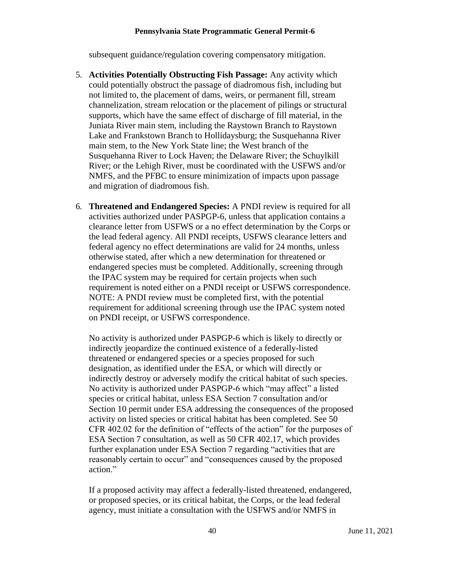subsequent guidance/regulation covering compensatory mitigation.

- 5. **Activities Potentially Obstructing Fish Passage:** Any activity which could potentially obstruct the passage of diadromous fish, including but not limited to, the placement of dams, weirs, or permanent fill, stream channelization, stream relocation or the placement of pilings or structural supports, which have the same effect of discharge of fill material, in the Juniata River main stem, including the Raystown Branch to Raystown Lake and Frankstown Branch to Hollidaysburg; the Susquehanna River main stem, to the New York State line; the West branch of the Susquehanna River to Lock Haven; the Delaware River; the Schuylkill River; or the Lehigh River, must be coordinated with the USFWS and/or NMFS, and the PFBC to ensure minimization of impacts upon passage and migration of diadromous fish.
- 6. **Threatened and Endangered Species:** A PNDI review is required for all activities authorized under PASPGP-6, unless that application contains a clearance letter from USFWS or a no effect determination by the Corps or the lead federal agency. All PNDI receipts, USFWS clearance letters and federal agency no effect determinations are valid for 24 months, unless otherwise stated, after which a new determination for threatened or endangered species must be completed. Additionally, screening through the IPAC system may be required for certain projects when such requirement is noted either on a PNDI receipt or USFWS correspondence. NOTE: A PNDI review must be completed first, with the potential requirement for additional screening through use the IPAC system noted on PNDI receipt, or USFWS correspondence.

No activity is authorized under PASPGP-6 which is likely to directly or indirectly jeopardize the continued existence of a federally-listed threatened or endangered species or a species proposed for such designation, as identified under the ESA, or which will directly or indirectly destroy or adversely modify the critical habitat of such species. No activity is authorized under PASPGP-6 which "may affect" a listed species or critical habitat, unless ESA Section 7 consultation and/or Section 10 permit under ESA addressing the consequences of the proposed activity on listed species or critical habitat has been completed. See 50 CFR 402.02 for the definition of "effects of the action" for the purposes of ESA Section 7 consultation, as well as 50 CFR 402.17, which provides further explanation under ESA Section 7 regarding "activities that are reasonably certain to occur" and "consequences caused by the proposed action."

If a proposed activity may affect a federally-listed threatened, endangered, or proposed species, or its critical habitat, the Corps, or the lead federal agency, must initiate a consultation with the USFWS and/or NMFS in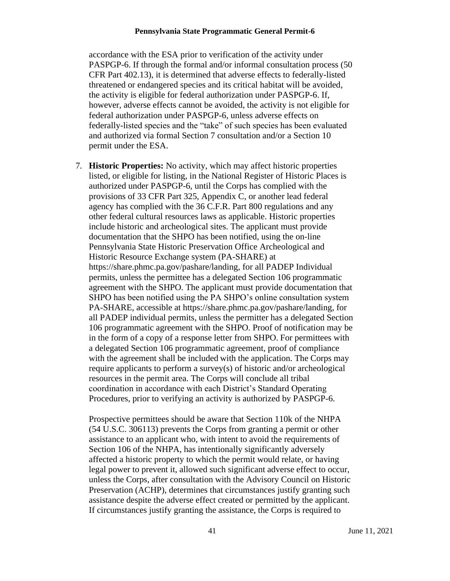accordance with the ESA prior to verification of the activity under PASPGP-6. If through the formal and/or informal consultation process (50 CFR Part 402.13), it is determined that adverse effects to federally-listed threatened or endangered species and its critical habitat will be avoided, the activity is eligible for federal authorization under PASPGP-6. If, however, adverse effects cannot be avoided, the activity is not eligible for federal authorization under PASPGP-6, unless adverse effects on federally-listed species and the "take" of such species has been evaluated and authorized via formal Section 7 consultation and/or a Section 10 permit under the ESA.

7. **Historic Properties:** No activity, which may affect historic properties listed, or eligible for listing, in the National Register of Historic Places is authorized under PASPGP-6, until the Corps has complied with the provisions of 33 CFR Part 325, Appendix C, or another lead federal agency has complied with the 36 C.F.R. Part 800 regulations and any other federal cultural resources laws as applicable. Historic properties include historic and archeological sites. The applicant must provide documentation that the SHPO has been notified, using the on-line Pennsylvania State Historic Preservation Office Archeological and Historic Resource Exchange system (PA-SHARE) at https://share.phmc.pa.gov/pashare/landing, for all PADEP Individual permits, unless the permittee has a delegated Section 106 programmatic agreement with the SHPO. The applicant must provide documentation that SHPO has been notified using the PA SHPO's online consultation system PA-SHARE, accessible at https://share.phmc.pa.gov/pashare/landing, for all PADEP individual permits, unless the permitter has a delegated Section 106 programmatic agreement with the SHPO. Proof of notification may be in the form of a copy of a response letter from SHPO. For permittees with a delegated Section 106 programmatic agreement, proof of compliance with the agreement shall be included with the application. The Corps may require applicants to perform a survey(s) of historic and/or archeological resources in the permit area. The Corps will conclude all tribal coordination in accordance with each District's Standard Operating Procedures, prior to verifying an activity is authorized by PASPGP-6.

Prospective permittees should be aware that Section 110k of the NHPA (54 U.S.C. 306113) prevents the Corps from granting a permit or other assistance to an applicant who, with intent to avoid the requirements of Section 106 of the NHPA, has intentionally significantly adversely affected a historic property to which the permit would relate, or having legal power to prevent it, allowed such significant adverse effect to occur, unless the Corps, after consultation with the Advisory Council on Historic Preservation (ACHP), determines that circumstances justify granting such assistance despite the adverse effect created or permitted by the applicant. If circumstances justify granting the assistance, the Corps is required to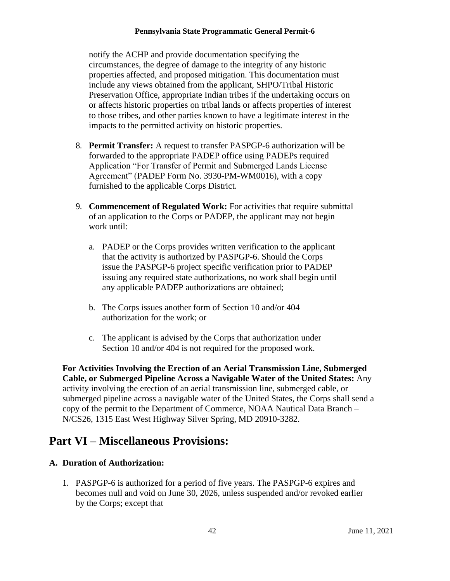notify the ACHP and provide documentation specifying the circumstances, the degree of damage to the integrity of any historic properties affected, and proposed mitigation. This documentation must include any views obtained from the applicant, SHPO/Tribal Historic Preservation Office, appropriate Indian tribes if the undertaking occurs on or affects historic properties on tribal lands or affects properties of interest to those tribes, and other parties known to have a legitimate interest in the impacts to the permitted activity on historic properties.

- 8. **Permit Transfer:** A request to transfer PASPGP-6 authorization will be forwarded to the appropriate PADEP office using PADEPs required Application "For Transfer of Permit and Submerged Lands License Agreement" (PADEP Form No. 3930-PM-WM0016), with a copy furnished to the applicable Corps District.
- 9. **Commencement of Regulated Work:** For activities that require submittal of an application to the Corps or PADEP, the applicant may not begin work until:
	- a. PADEP or the Corps provides written verification to the applicant that the activity is authorized by PASPGP-6. Should the Corps issue the PASPGP-6 project specific verification prior to PADEP issuing any required state authorizations, no work shall begin until any applicable PADEP authorizations are obtained;
	- b. The Corps issues another form of Section 10 and/or 404 authorization for the work; or
	- c. The applicant is advised by the Corps that authorization under Section 10 and/or 404 is not required for the proposed work.

**For Activities Involving the Erection of an Aerial Transmission Line, Submerged Cable, or Submerged Pipeline Across a Navigable Water of the United States:** Any activity involving the erection of an aerial transmission line, submerged cable, or submerged pipeline across a navigable water of the United States, the Corps shall send a copy of the permit to the Department of Commerce, NOAA Nautical Data Branch – N/CS26, 1315 East West Highway Silver Spring, MD 20910-3282.

## <span id="page-41-0"></span>**Part VI – Miscellaneous Provisions:**

### **A. Duration of Authorization:**

1. PASPGP-6 is authorized for a period of five years. The PASPGP-6 expires and becomes null and void on June 30, 2026, unless suspended and/or revoked earlier by the Corps; except that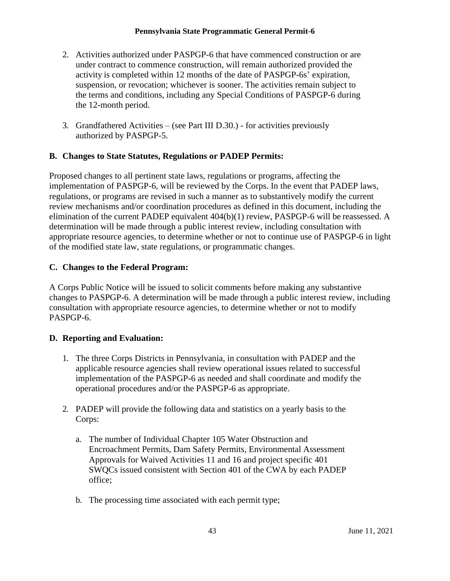- 2. Activities authorized under PASPGP-6 that have commenced construction or are under contract to commence construction, will remain authorized provided the activity is completed within 12 months of the date of PASPGP-6s' expiration, suspension, or revocation; whichever is sooner. The activities remain subject to the terms and conditions, including any Special Conditions of PASPGP-6 during the 12-month period.
- 3. Grandfathered Activities (see Part III D.30.) for activities previously authorized by PASPGP-5.

## **B. Changes to State Statutes, Regulations or PADEP Permits:**

Proposed changes to all pertinent state laws, regulations or programs, affecting the implementation of PASPGP-6, will be reviewed by the Corps. In the event that PADEP laws, regulations, or programs are revised in such a manner as to substantively modify the current review mechanisms and/or coordination procedures as defined in this document, including the elimination of the current PADEP equivalent 404(b)(1) review, PASPGP-6 will be reassessed. A determination will be made through a public interest review, including consultation with appropriate resource agencies, to determine whether or not to continue use of PASPGP-6 in light of the modified state law, state regulations, or programmatic changes.

## **C. Changes to the Federal Program:**

A Corps Public Notice will be issued to solicit comments before making any substantive changes to PASPGP-6. A determination will be made through a public interest review, including consultation with appropriate resource agencies, to determine whether or not to modify PASPGP-6.

## **D. Reporting and Evaluation:**

- 1. The three Corps Districts in Pennsylvania, in consultation with PADEP and the applicable resource agencies shall review operational issues related to successful implementation of the PASPGP-6 as needed and shall coordinate and modify the operational procedures and/or the PASPGP-6 as appropriate.
- 2. PADEP will provide the following data and statistics on a yearly basis to the Corps:
	- a. The number of Individual Chapter 105 Water Obstruction and Encroachment Permits, Dam Safety Permits, Environmental Assessment Approvals for Waived Activities 11 and 16 and project specific 401 SWQCs issued consistent with Section 401 of the CWA by each PADEP office;
	- b. The processing time associated with each permit type;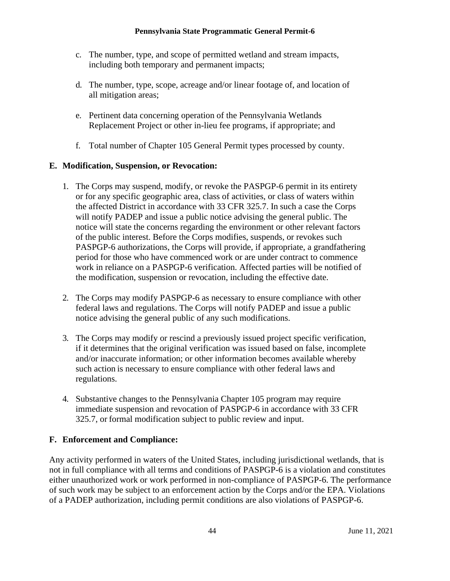- c. The number, type, and scope of permitted wetland and stream impacts, including both temporary and permanent impacts;
- d. The number, type, scope, acreage and/or linear footage of, and location of all mitigation areas;
- e. Pertinent data concerning operation of the Pennsylvania Wetlands Replacement Project or other in-lieu fee programs, if appropriate; and
- f. Total number of Chapter 105 General Permit types processed by county.

## **E. Modification, Suspension, or Revocation:**

- 1. The Corps may suspend, modify, or revoke the PASPGP-6 permit in its entirety or for any specific geographic area, class of activities, or class of waters within the affected District in accordance with 33 CFR 325.7. In such a case the Corps will notify PADEP and issue a public notice advising the general public. The notice will state the concerns regarding the environment or other relevant factors of the public interest. Before the Corps modifies, suspends, or revokes such PASPGP-6 authorizations, the Corps will provide, if appropriate, a grandfathering period for those who have commenced work or are under contract to commence work in reliance on a PASPGP-6 verification. Affected parties will be notified of the modification, suspension or revocation, including the effective date.
- 2. The Corps may modify PASPGP-6 as necessary to ensure compliance with other federal laws and regulations. The Corps will notify PADEP and issue a public notice advising the general public of any such modifications.
- 3. The Corps may modify or rescind a previously issued project specific verification, if it determines that the original verification was issued based on false, incomplete and/or inaccurate information; or other information becomes available whereby such action is necessary to ensure compliance with other federal laws and regulations.
- 4. Substantive changes to the Pennsylvania Chapter 105 program may require immediate suspension and revocation of PASPGP-6 in accordance with 33 CFR 325.7, or formal modification subject to public review and input.

## **F. Enforcement and Compliance:**

Any activity performed in waters of the United States, including jurisdictional wetlands, that is not in full compliance with all terms and conditions of PASPGP-6 is a violation and constitutes either unauthorized work or work performed in non-compliance of PASPGP-6. The performance of such work may be subject to an enforcement action by the Corps and/or the EPA. Violations of a PADEP authorization, including permit conditions are also violations of PASPGP-6.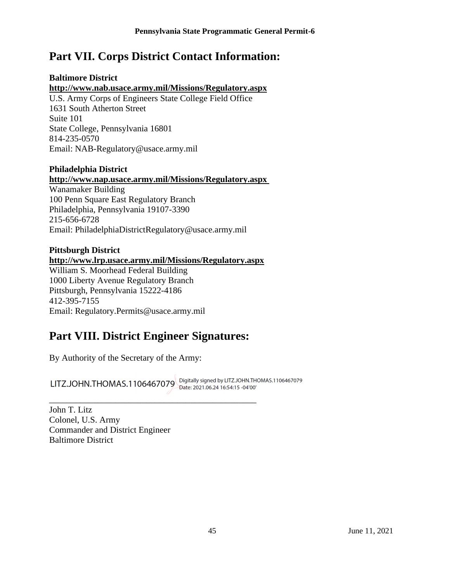## <span id="page-44-0"></span>**Part VII. Corps District Contact Information:**

## **Baltimore District**

## **<http://www.nab.usace.army.mil/Missions/Regulatory.aspx>**

U.S. Army Corps of Engineers State College Field Office 1631 South Atherton Street Suite 101 State College, Pennsylvania 16801 814-235-0570 Email: [NAB-Regulatory@usace.army.mil](mailto:PhiladelphiaDistrictRegulatory@usace.army.mil)

## **Philadelphia District**

## **<http://www.nap.usace.army.mil/Missions/Regulatory.aspx>**

Wanamaker Building 100 Penn Square East Regulatory Branch Philadelphia, Pennsylvania 19107-3390 215-656-6728 Email: [PhiladelphiaDistrictRegulatory@usace.army.mil](mailto:PhiladelphiaDistrictRegulatory@usace.army.mil)

## **Pittsburgh District <http://www.lrp.usace.army.mil/Missions/Regulatory.aspx>** William S. Moorhead Federal Building 1000 Liberty Avenue Regulatory Branch Pittsburgh, Pennsylvania 15222-4186

412-395-7155 Email: [Regulatory.Permits@usace.army.mil](mailto:Regulatory.Permits@usace.army.mil)

## <span id="page-44-1"></span>**Part VIII. District Engineer Signatures:**

\_\_\_\_\_\_\_\_\_\_\_\_\_\_\_\_\_\_\_\_\_\_\_\_\_\_\_\_\_\_\_\_\_\_\_\_\_\_\_\_\_\_\_\_\_\_\_

By Authority of the Secretary of the Army:

LITZ.JOHN.THOMAS.1106467079 Digitally signed by LITZ.JOHN.THOMAS.1106467079

John T. Litz Colonel, U.S. Army Commander and District Engineer Baltimore District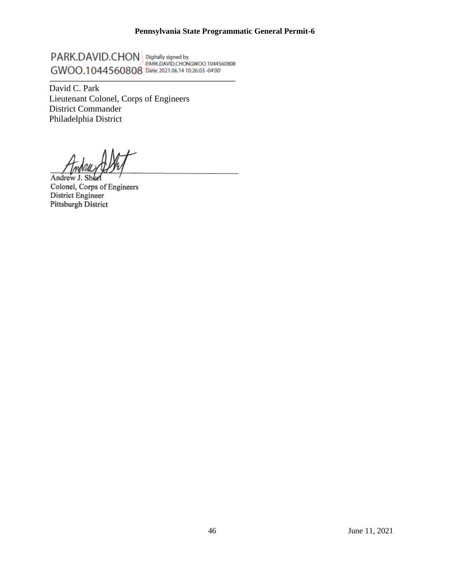PARK.DAVID.CHON Digitally signed by<br>CMOO 1044560808 THE RANDAUD.CHONGWOO.1044560808 GWOO.1044560808 Date: 2021.06.14 10:26:03 -04'00'

David C. Park Lieutenant Colonel, Corps of Engineers District Commander Philadelphia District

Andrew J. Colonel, Corps of Engineers District Engineer Pittsburgh District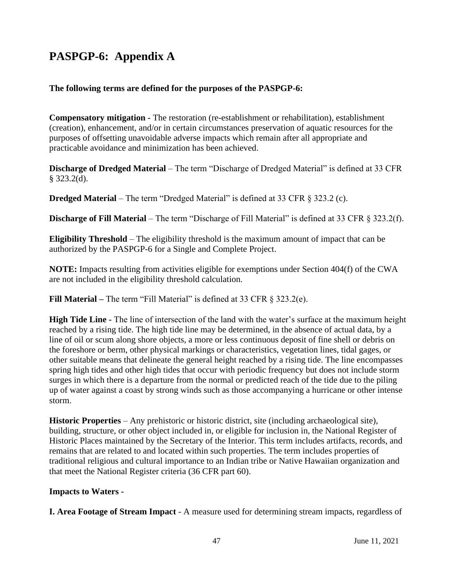## **PASPGP-6: Appendix A**

## **The following terms are defined for the purposes of the PASPGP-6:**

**Compensatory mitigation -** The restoration (re-establishment or rehabilitation), establishment (creation), enhancement, and/or in certain circumstances preservation of aquatic resources for the purposes of offsetting unavoidable adverse impacts which remain after all appropriate and practicable avoidance and minimization has been achieved.

**Discharge of Dredged Material** – The term "Discharge of Dredged Material" is defined at 33 CFR  $§$  323.2(d).

**Dredged Material** – The term "Dredged Material" is defined at 33 CFR § 323.2 (c).

**Discharge of Fill Material** – The term "Discharge of Fill Material" is defined at 33 CFR § 323.2(f).

**Eligibility Threshold** – The eligibility threshold is the maximum amount of impact that can be authorized by the PASPGP-6 for a Single and Complete Project.

**NOTE:** Impacts resulting from activities eligible for exemptions under Section 404(f) of the CWA are not included in the eligibility threshold calculation.

**Fill Material –** The term "Fill Material" is defined at 33 CFR § 323.2(e).

**High Tide Line -** The line of intersection of the land with the water's surface at the maximum height reached by a rising tide. The high tide line may be determined, in the absence of actual data, by a line of oil or scum along shore objects, a more or less continuous deposit of fine shell or debris on the foreshore or berm, other physical markings or characteristics, vegetation lines, tidal gages, or other suitable means that delineate the general height reached by a rising tide. The line encompasses spring high tides and other high tides that occur with periodic frequency but does not include storm surges in which there is a departure from the normal or predicted reach of the tide due to the piling up of water against a coast by strong winds such as those accompanying a hurricane or other intense storm.

**Historic Properties** – Any prehistoric or historic district, site (including archaeological site), building, structure, or other object included in, or eligible for inclusion in, the National Register of Historic Places maintained by the Secretary of the Interior. This term includes artifacts, records, and remains that are related to and located within such properties. The term includes properties of traditional religious and cultural importance to an Indian tribe or Native Hawaiian organization and that meet the National Register criteria (36 CFR part 60).

## **Impacts to Waters -**

**I. Area Footage of Stream Impact** - A measure used for determining stream impacts, regardless of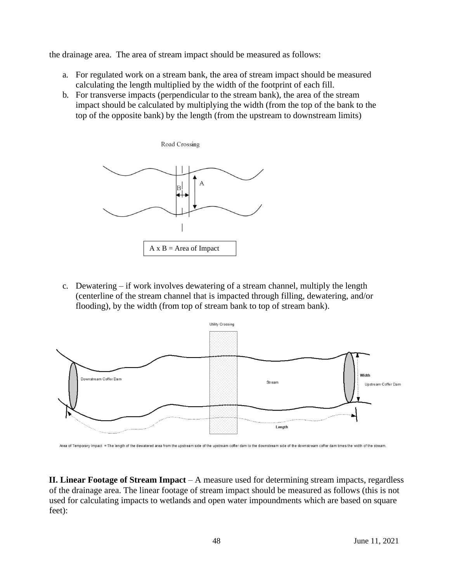the drainage area. The area of stream impact should be measured as follows:

- a. For regulated work on a stream bank, the area of stream impact should be measured calculating the length multiplied by the width of the footprint of each fill.
- b. For transverse impacts (perpendicular to the stream bank), the area of the stream impact should be calculated by multiplying the width (from the top of the bank to the top of the opposite bank) by the length (from the upstream to downstream limits)

Road Crossing



c. Dewatering – if work involves dewatering of a stream channel, multiply the length (centerline of the stream channel that is impacted through filling, dewatering, and/or flooding), by the width (from top of stream bank to top of stream bank).



Area of Temporary Impact = The length of the dewatered area from the upstream side of the upstream coffer dam to the downstream side of the downstream coffer dam times the width of the stream

**II. Linear Footage of Stream Impact** – A measure used for determining stream impacts, regardless of the drainage area. The linear footage of stream impact should be measured as follows (this is not used for calculating impacts to wetlands and open water impoundments which are based on square feet):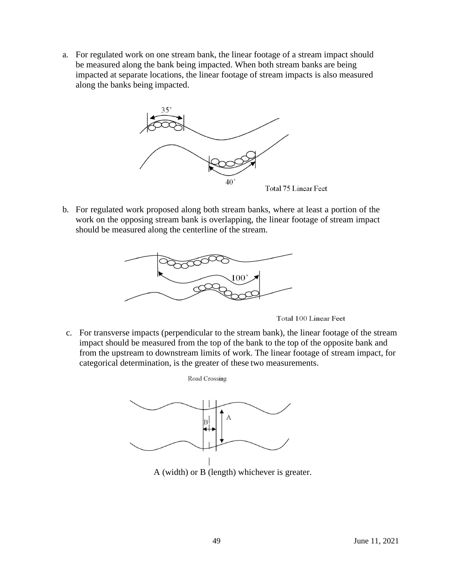a. For regulated work on one stream bank, the linear footage of a stream impact should be measured along the bank being impacted. When both stream banks are being impacted at separate locations, the linear footage of stream impacts is also measured along the banks being impacted.



b. For regulated work proposed along both stream banks, where at least a portion of the work on the opposing stream bank is overlapping, the linear footage of stream impact should be measured along the centerline of the stream.



Total 100 Linear Feet

c. For transverse impacts (perpendicular to the stream bank), the linear footage of the stream impact should be measured from the top of the bank to the top of the opposite bank and from the upstream to downstream limits of work. The linear footage of stream impact, for categorical determination, is the greater of these two measurements.



Road Crossing

A (width) or B (length) whichever is greater.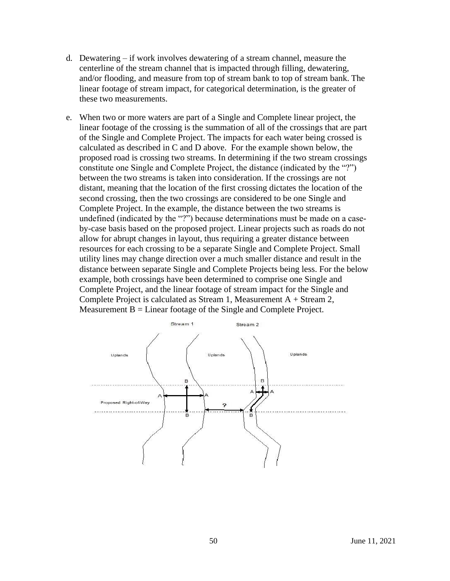- d. Dewatering if work involves dewatering of a stream channel, measure the centerline of the stream channel that is impacted through filling, dewatering, and/or flooding, and measure from top of stream bank to top of stream bank. The linear footage of stream impact, for categorical determination, is the greater of these two measurements.
- e. When two or more waters are part of a Single and Complete linear project, the linear footage of the crossing is the summation of all of the crossings that are part of the Single and Complete Project. The impacts for each water being crossed is calculated as described in C and D above. For the example shown below, the proposed road is crossing two streams. In determining if the two stream crossings constitute one Single and Complete Project, the distance (indicated by the "?") between the two streams is taken into consideration. If the crossings are not distant, meaning that the location of the first crossing dictates the location of the second crossing, then the two crossings are considered to be one Single and Complete Project. In the example, the distance between the two streams is undefined (indicated by the "?") because determinations must be made on a caseby-case basis based on the proposed project. Linear projects such as roads do not allow for abrupt changes in layout, thus requiring a greater distance between resources for each crossing to be a separate Single and Complete Project. Small utility lines may change direction over a much smaller distance and result in the distance between separate Single and Complete Projects being less. For the below example, both crossings have been determined to comprise one Single and Complete Project, and the linear footage of stream impact for the Single and Complete Project is calculated as Stream 1, Measurement  $A +$  Stream 2, Measurement  $B = Linear$  footage of the Single and Complete Project.

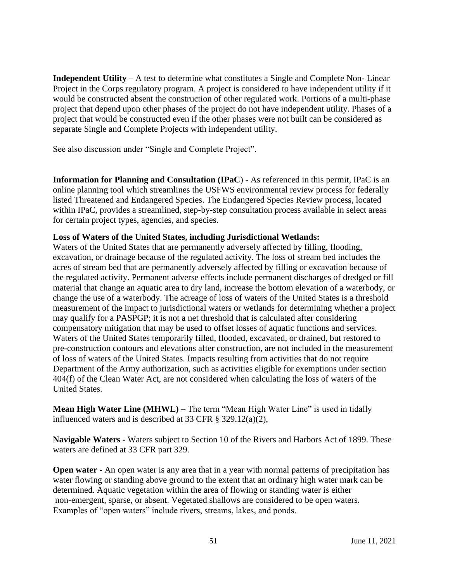**Independent Utility** – A test to determine what constitutes a Single and Complete Non- Linear Project in the Corps regulatory program. A project is considered to have independent utility if it would be constructed absent the construction of other regulated work. Portions of a multi-phase project that depend upon other phases of the project do not have independent utility. Phases of a project that would be constructed even if the other phases were not built can be considered as separate Single and Complete Projects with independent utility.

See also discussion under "Single and Complete Project".

**Information for Planning and Consultation (IPaC**) - As referenced in this permit, IPaC is an online planning tool which streamlines the USFWS environmental review process for federally listed Threatened and Endangered Species. The Endangered Species Review process, located within IPaC, provides a streamlined, step-by-step consultation process available in select areas for certain project types, agencies, and species.

## **Loss of Waters of the United States, including Jurisdictional Wetlands:**

Waters of the United States that are permanently adversely affected by filling, flooding, excavation, or drainage because of the regulated activity. The loss of stream bed includes the acres of stream bed that are permanently adversely affected by filling or excavation because of the regulated activity. Permanent adverse effects include permanent discharges of dredged or fill material that change an aquatic area to dry land, increase the bottom elevation of a waterbody, or change the use of a waterbody. The acreage of loss of waters of the United States is a threshold measurement of the impact to jurisdictional waters or wetlands for determining whether a project may qualify for a PASPGP; it is not a net threshold that is calculated after considering compensatory mitigation that may be used to offset losses of aquatic functions and services. Waters of the United States temporarily filled, flooded, excavated, or drained, but restored to pre-construction contours and elevations after construction, are not included in the measurement of loss of waters of the United States. Impacts resulting from activities that do not require Department of the Army authorization, such as activities eligible for exemptions under section 404(f) of the Clean Water Act, are not considered when calculating the loss of waters of the United States.

**Mean High Water Line (MHWL)** – The term "Mean High Water Line" is used in tidally influenced waters and is described at 33 CFR § 329.12(a)(2),

**Navigable Waters -** Waters subject to Section 10 of the Rivers and Harbors Act of 1899. These waters are defined at 33 CFR part 329.

**Open water -** An open water is any area that in a year with normal patterns of precipitation has water flowing or standing above ground to the extent that an ordinary high water mark can be determined. Aquatic vegetation within the area of flowing or standing water is either non-emergent, sparse, or absent. Vegetated shallows are considered to be open waters. Examples of "open waters" include rivers, streams, lakes, and ponds.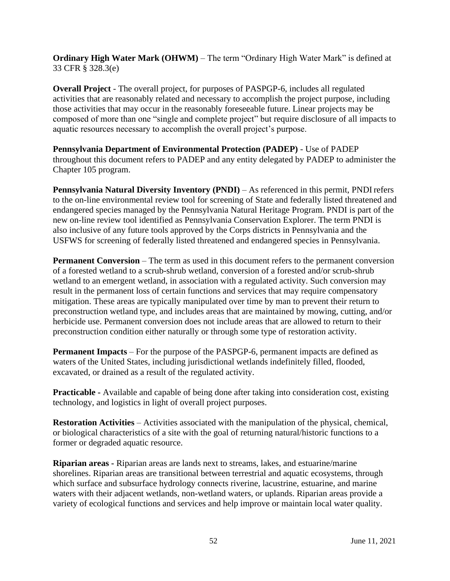**Ordinary High Water Mark (OHWM)** – The term "Ordinary High Water Mark" is defined at 33 CFR § 328.3(e)

**Overall Project** - The overall project, for purposes of PASPGP-6, includes all regulated activities that are reasonably related and necessary to accomplish the project purpose, including those activities that may occur in the reasonably foreseeable future. Linear projects may be composed of more than one "single and complete project" but require disclosure of all impacts to aquatic resources necessary to accomplish the overall project's purpose.

**Pennsylvania Department of Environmental Protection (PADEP)** - Use of PADEP throughout this document refers to PADEP and any entity delegated by PADEP to administer the Chapter 105 program.

**Pennsylvania Natural Diversity Inventory (PNDI)** – As referenced in this permit, PNDI refers to the on-line environmental review tool for screening of State and federally listed threatened and endangered species managed by the Pennsylvania Natural Heritage Program. PNDI is part of the new on-line review tool identified as Pennsylvania Conservation Explorer. The term PNDI is also inclusive of any future tools approved by the Corps districts in Pennsylvania and the USFWS for screening of federally listed threatened and endangered species in Pennsylvania.

**Permanent Conversion** – The term as used in this document refers to the permanent conversion of a forested wetland to a scrub-shrub wetland, conversion of a forested and/or scrub-shrub wetland to an emergent wetland, in association with a regulated activity. Such conversion may result in the permanent loss of certain functions and services that may require compensatory mitigation. These areas are typically manipulated over time by man to prevent their return to preconstruction wetland type, and includes areas that are maintained by mowing, cutting, and/or herbicide use. Permanent conversion does not include areas that are allowed to return to their preconstruction condition either naturally or through some type of restoration activity.

**Permanent Impacts** – For the purpose of the PASPGP-6, permanent impacts are defined as waters of the United States, including jurisdictional wetlands indefinitely filled, flooded, excavated, or drained as a result of the regulated activity.

**Practicable -** Available and capable of being done after taking into consideration cost, existing technology, and logistics in light of overall project purposes.

**Restoration Activities** – Activities associated with the manipulation of the physical, chemical, or biological characteristics of a site with the goal of returning natural/historic functions to a former or degraded aquatic resource.

**Riparian areas -** Riparian areas are lands next to streams, lakes, and estuarine/marine shorelines. Riparian areas are transitional between terrestrial and aquatic ecosystems, through which surface and subsurface hydrology connects riverine, lacustrine, estuarine, and marine waters with their adjacent wetlands, non-wetland waters, or uplands. Riparian areas provide a variety of ecological functions and services and help improve or maintain local water quality.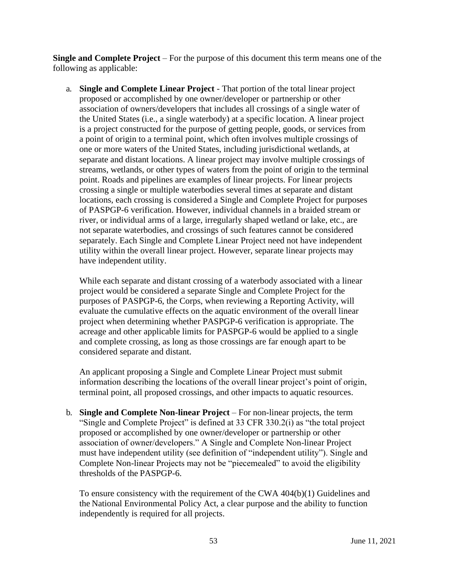**Single and Complete Project** – For the purpose of this document this term means one of the following as applicable:

a. **Single and Complete Linear Project** - That portion of the total linear project proposed or accomplished by one owner/developer or partnership or other association of owners/developers that includes all crossings of a single water of the United States (i.e., a single waterbody) at a specific location. A linear project is a project constructed for the purpose of getting people, goods, or services from a point of origin to a terminal point, which often involves multiple crossings of one or more waters of the United States, including jurisdictional wetlands, at separate and distant locations. A linear project may involve multiple crossings of streams, wetlands, or other types of waters from the point of origin to the terminal point. Roads and pipelines are examples of linear projects. For linear projects crossing a single or multiple waterbodies several times at separate and distant locations, each crossing is considered a Single and Complete Project for purposes of PASPGP-6 verification. However, individual channels in a braided stream or river, or individual arms of a large, irregularly shaped wetland or lake, etc., are not separate waterbodies, and crossings of such features cannot be considered separately. Each Single and Complete Linear Project need not have independent utility within the overall linear project. However, separate linear projects may have independent utility.

While each separate and distant crossing of a waterbody associated with a linear project would be considered a separate Single and Complete Project for the purposes of PASPGP-6, the Corps, when reviewing a Reporting Activity, will evaluate the cumulative effects on the aquatic environment of the overall linear project when determining whether PASPGP-6 verification is appropriate. The acreage and other applicable limits for PASPGP-6 would be applied to a single and complete crossing, as long as those crossings are far enough apart to be considered separate and distant.

An applicant proposing a Single and Complete Linear Project must submit information describing the locations of the overall linear project's point of origin, terminal point, all proposed crossings, and other impacts to aquatic resources.

b. **Single and Complete Non-linear Project** – For non-linear projects, the term "Single and Complete Project" is defined at 33 CFR 330.2(i) as "the total project proposed or accomplished by one owner/developer or partnership or other association of owner/developers." A Single and Complete Non-linear Project must have independent utility (see definition of "independent utility"). Single and Complete Non-linear Projects may not be "piecemealed" to avoid the eligibility thresholds of the PASPGP-6.

To ensure consistency with the requirement of the CWA 404(b)(1) Guidelines and the National Environmental Policy Act, a clear purpose and the ability to function independently is required for all projects.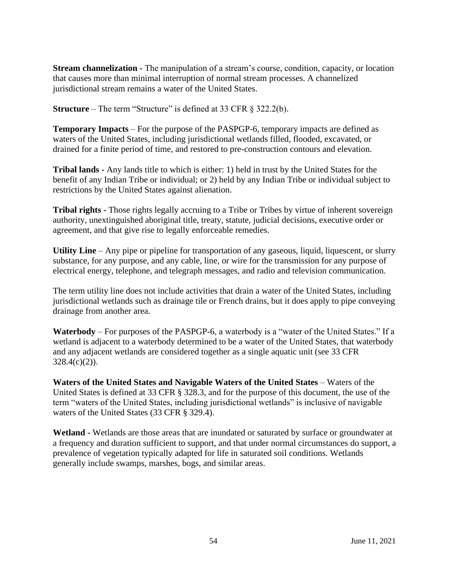**Stream channelization -** The manipulation of a stream's course, condition, capacity, or location that causes more than minimal interruption of normal stream processes. A channelized jurisdictional stream remains a water of the United States.

**Structure** – The term "Structure" is defined at 33 CFR § 322.2(b).

**Temporary Impacts** – For the purpose of the PASPGP-6, temporary impacts are defined as waters of the United States, including jurisdictional wetlands filled, flooded, excavated, or drained for a finite period of time, and restored to pre-construction contours and elevation.

**Tribal lands -** Any lands title to which is either: 1) held in trust by the United States for the benefit of any Indian Tribe or individual; or 2) held by any Indian Tribe or individual subject to restrictions by the United States against alienation.

**Tribal rights -** Those rights legally accruing to a Tribe or Tribes by virtue of inherent sovereign authority, unextinguished aboriginal title, treaty, statute, judicial decisions, executive order or agreement, and that give rise to legally enforceable remedies.

**Utility Line** – Any pipe or pipeline for transportation of any gaseous, liquid, liquescent, or slurry substance, for any purpose, and any cable, line, or wire for the transmission for any purpose of electrical energy, telephone, and telegraph messages, and radio and television communication.

The term utility line does not include activities that drain a water of the United States, including jurisdictional wetlands such as drainage tile or French drains, but it does apply to pipe conveying drainage from another area.

**Waterbody** – For purposes of the PASPGP-6, a waterbody is a "water of the United States." If a wetland is adjacent to a waterbody determined to be a water of the United States, that waterbody and any adjacent wetlands are considered together as a single aquatic unit (see 33 CFR  $328.4(c)(2)$ ).

Waters of the United States and Navigable Waters of the United States – Waters of the United States is defined at 33 CFR § 328.3, and for the purpose of this document, the use of the term "waters of the United States, including jurisdictional wetlands" is inclusive of navigable waters of the United States (33 CFR § 329.4).

**Wetland -** Wetlands are those areas that are inundated or saturated by surface or groundwater at a frequency and duration sufficient to support, and that under normal circumstances do support, a prevalence of vegetation typically adapted for life in saturated soil conditions. Wetlands generally include swamps, marshes, bogs, and similar areas.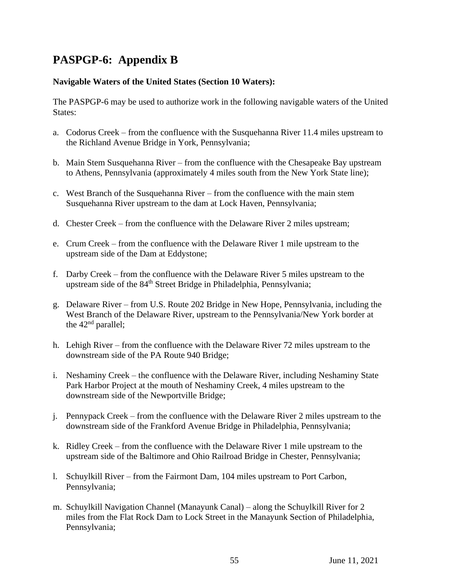## **PASPGP-6: Appendix B**

### **Navigable Waters of the United States (Section 10 Waters):**

The PASPGP-6 may be used to authorize work in the following navigable waters of the United States:

- a. Codorus Creek from the confluence with the Susquehanna River 11.4 miles upstream to the Richland Avenue Bridge in York, Pennsylvania;
- b. Main Stem Susquehanna River from the confluence with the Chesapeake Bay upstream to Athens, Pennsylvania (approximately 4 miles south from the New York State line);
- c. West Branch of the Susquehanna River from the confluence with the main stem Susquehanna River upstream to the dam at Lock Haven, Pennsylvania;
- d. Chester Creek from the confluence with the Delaware River 2 miles upstream;
- e. Crum Creek from the confluence with the Delaware River 1 mile upstream to the upstream side of the Dam at Eddystone;
- f. Darby Creek from the confluence with the Delaware River 5 miles upstream to the upstream side of the 84<sup>th</sup> Street Bridge in Philadelphia, Pennsylvania;
- g. Delaware River from U.S. Route 202 Bridge in New Hope, Pennsylvania, including the West Branch of the Delaware River, upstream to the Pennsylvania/New York border at the  $42<sup>nd</sup>$  parallel;
- h. Lehigh River from the confluence with the Delaware River 72 miles upstream to the downstream side of the PA Route 940 Bridge;
- i. Neshaminy Creek the confluence with the Delaware River, including Neshaminy State Park Harbor Project at the mouth of Neshaminy Creek, 4 miles upstream to the downstream side of the Newportville Bridge;
- j. Pennypack Creek from the confluence with the Delaware River 2 miles upstream to the downstream side of the Frankford Avenue Bridge in Philadelphia, Pennsylvania;
- k. Ridley Creek from the confluence with the Delaware River 1 mile upstream to the upstream side of the Baltimore and Ohio Railroad Bridge in Chester, Pennsylvania;
- l. Schuylkill River from the Fairmont Dam, 104 miles upstream to Port Carbon, Pennsylvania;
- m. Schuylkill Navigation Channel (Manayunk Canal) along the Schuylkill River for 2 miles from the Flat Rock Dam to Lock Street in the Manayunk Section of Philadelphia, Pennsylvania;